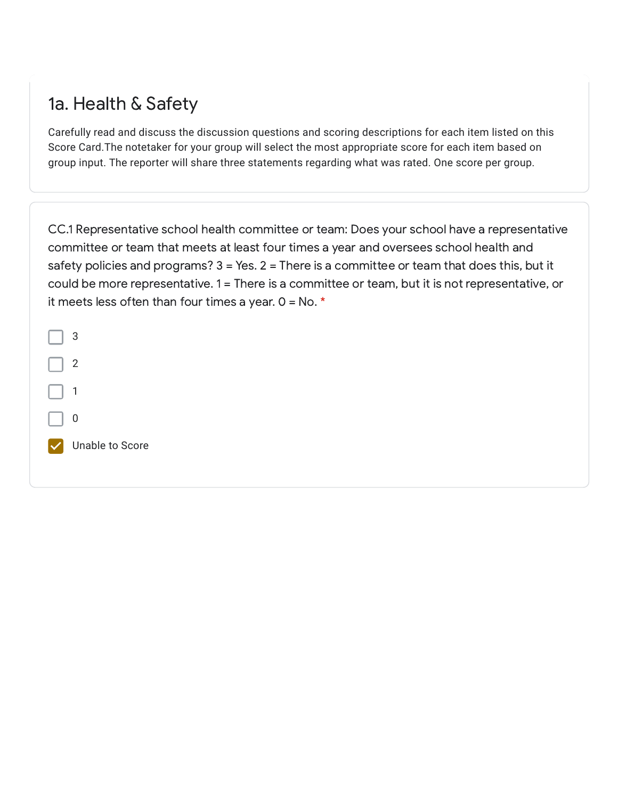#### 1a. Health & Safety

Carefully read and discuss the discussion questions and scoring descriptions for each item listed on this Score Card.The notetaker for your group will select the most appropriate score for each item based on group input. The reporter will share three statements regarding what was rated. One score per group.

CC.1 Representative school health committee or team: Does your school have a representative committee or team that meets at least four times a year and oversees school health and safety policies and programs? 3 = Yes. 2 = There is a committee or team that does this, but it could be more representative. 1 = There is a committee or team, but it is not representative, or it meets less often than four times a year.  $0 = No.$  \*

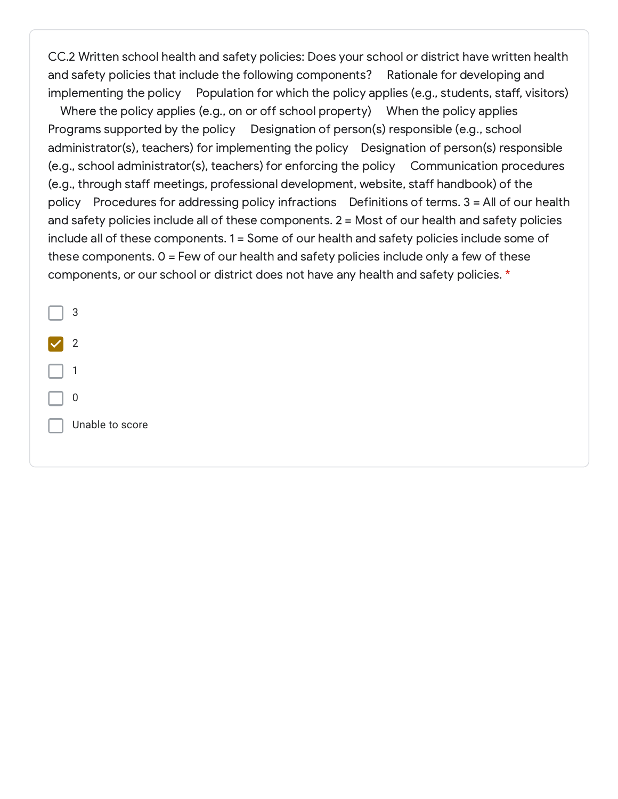CC.2 Written school health and safety policies: Does your school or district have written health and safety policies that include the following components? Rationale for developing and implementing the policy Population for which the policy applies (e.g., students, staff, visitors)

Where the policy applies (e.g., on or off school property) When the policy applies Programs supported by the policy Designation of person(s) responsible (e.g., school administrator(s), teachers) for implementing the policy Designation of person(s) responsible (e.g., school administrator(s), teachers) for enforcing the policy Communication procedures (e.g., through staff meetings, professional development, website, staff handbook) of the policy Procedures for addressing policy infractions Definitions of terms. 3 = All of our health and safety policies include all of these components. 2 = Most of our health and safety policies include all of these components. 1 = Some of our health and safety policies include some of these components. 0 = Few of our health and safety policies include only a few of these components, or our school or district does not have any health and safety policies. \*

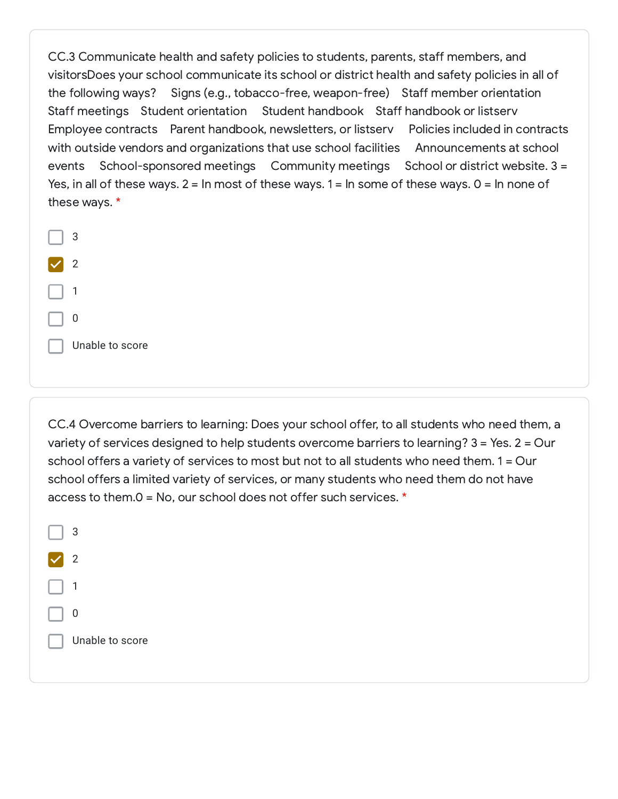CC.3 Communicate health and safety policies to students, parents, staff members, and visitorsDoes your school communicate its school or district health and safety policies in all of the following ways? Signs (e.g., tobacco-free, weapon-free) Staff member orientation Staff meetings Student orientation Student handbook Staff handbook or listserv Employee contracts Parent handbook, newsletters, or listserv Policies included in contracts with outside vendors and organizations that use school facilities Announcements at school events School-sponsored meetings Community meetings School or district website. 3 = Yes, in all of these ways.  $2 = \ln \text{most of these ways}$ .  $1 = \ln \text{some of these ways}$ .  $0 = \ln \text{none of}$ these ways. \*

| 3               |
|-----------------|
| 2               |
| 1               |
| 0               |
| Unable to score |
|                 |

CC.4 Overcome barriers to learning: Does your school offer, to all students who need them, a variety of services designed to help students overcome barriers to learning? 3 = Yes. 2 = Our school offers a variety of services to most but not to all students who need them. 1 = Our school offers a limited variety of services, or many students who need them do not have access to them.0 = No, our school does not offer such services. \*

| 3               |
|-----------------|
| 2               |
| 1               |
| 0               |
| Unable to score |
|                 |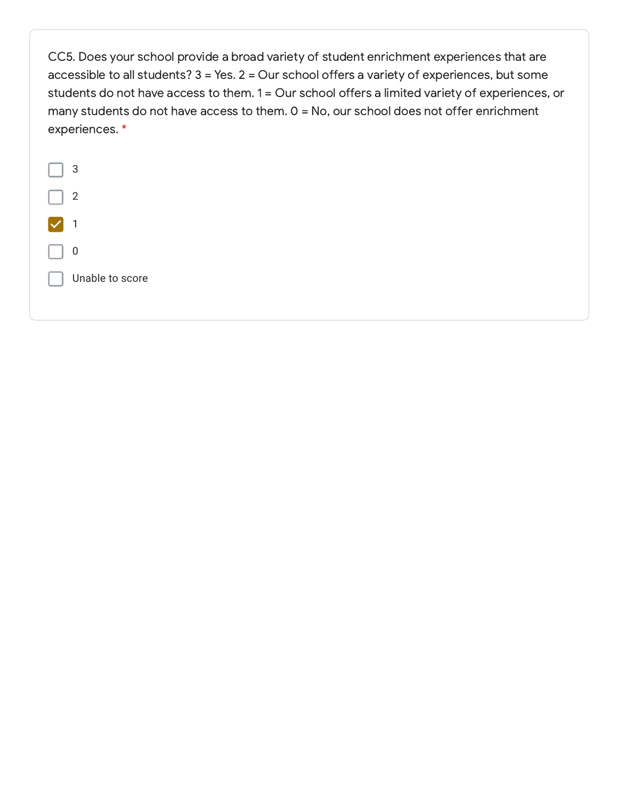CC5. Does your school provide a broad variety of student enrichment experiences that are accessible to all students? 3 = Yes. 2 = Our school offers a variety of experiences, but some students do not have access to them. 1 = Our school offers a limited variety of experiences, or many students do not have access to them. 0 = No, our school does not offer enrichment experiences. \*

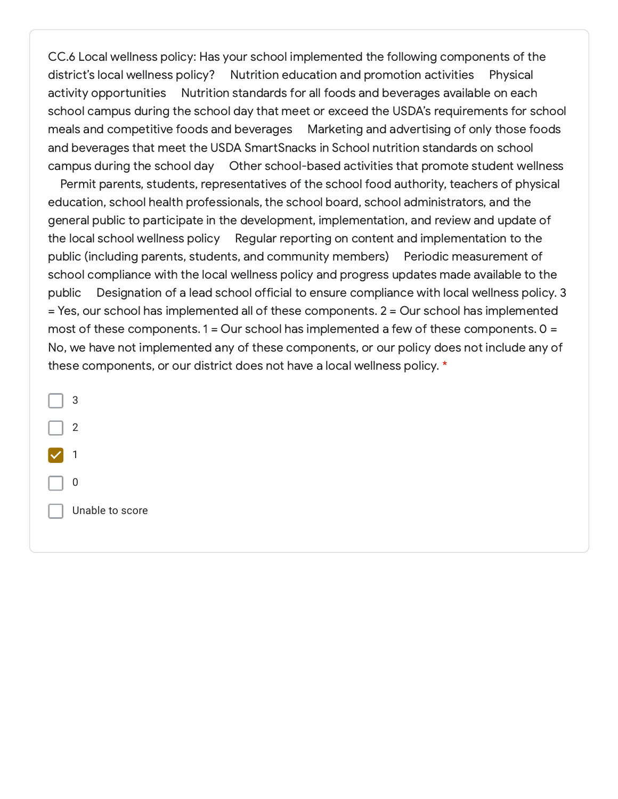CC.6 Local wellness policy: Has your school implemented the following components of the district's local wellness policy? Nutrition education and promotion activities Physical activity opportunities Nutrition standards for all foods and beverages available on each school campus during the school day that meet or exceed the USDA's requirements for school meals and competitive foods and beverages Marketing and advertising of only those foods and beverages that meet the USDA SmartSnacks in School nutrition standards on school campus during the school day Other school-based activities that promote student wellness

Permit parents, students, representatives of the school food authority, teachers of physical education, school health professionals, the school board, school administrators, and the general public to participate in the development, implementation, and review and update of the local school wellness policy Regular reporting on content and implementation to the public (including parents, students, and community members) Periodic measurement of school compliance with the local wellness policy and progress updates made available to the public Designation of a lead school official to ensure compliance with local wellness policy. 3 = Yes, our school has implemented all of these components. 2 = Our school has implemented most of these components.  $1 =$  Our school has implemented a few of these components.  $0 =$ No, we have not implemented any of these components, or our policy does not include any of these components, or our district does not have a local wellness policy. \*

3 2 1 0 Unable to score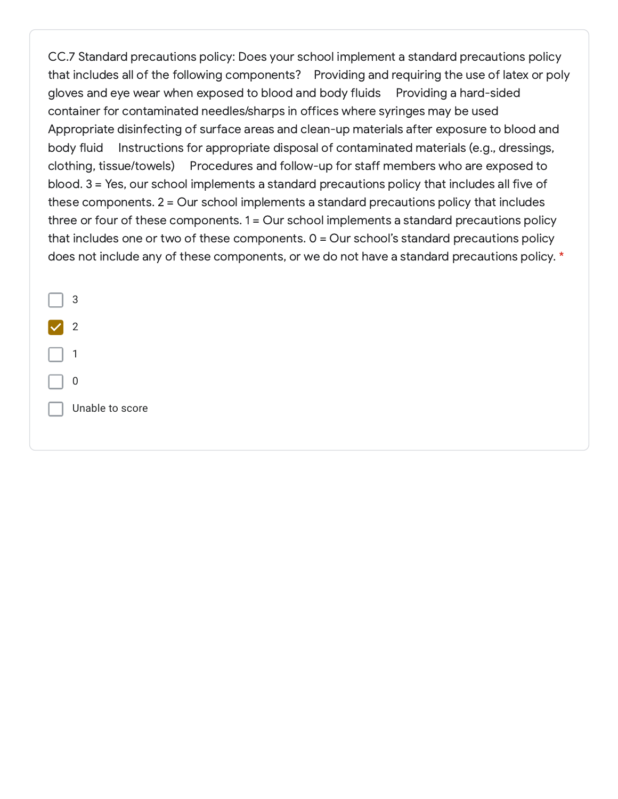CC.7 Standard precautions policy: Does your school implement a standard precautions policy that includes all of the following components? Providing and requiring the use of latex or poly gloves and eye wear when exposed to blood and body fluids Providing a hard-sided container for contaminated needles/sharps in offices where syringes may be used Appropriate disinfecting of surface areas and clean-up materials after exposure to blood and body fluid Instructions for appropriate disposal of contaminated materials (e.g., dressings, clothing, tissue/towels) Procedures and follow-up for staff members who are exposed to blood. 3 = Yes, our school implements a standard precautions policy that includes all five of these components. 2 = Our school implements a standard precautions policy that includes three or four of these components. 1 = Our school implements a standard precautions policy that includes one or two of these components.  $0 =$  Our school's standard precautions policy does not include any of these components, or we do not have a standard precautions policy. \*

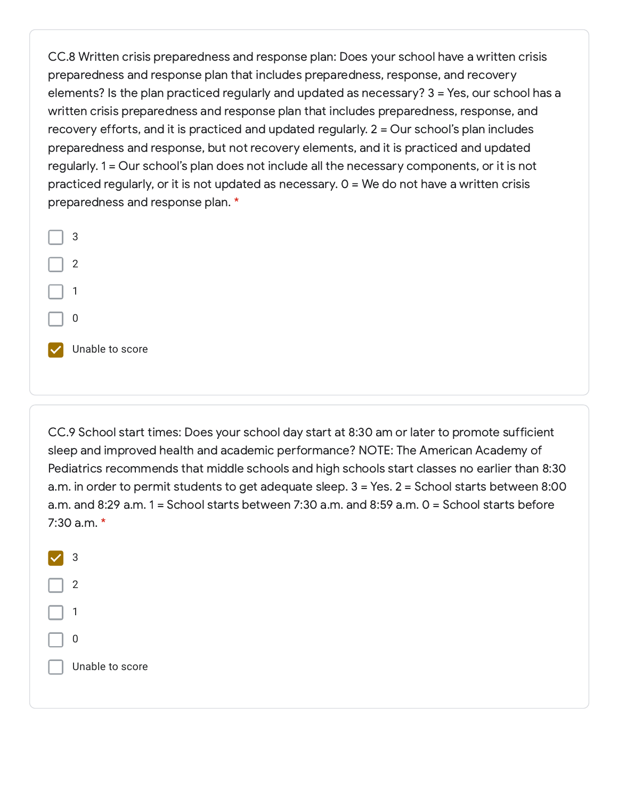CC.8 Written crisis preparedness and response plan: Does your school have a written crisis preparedness and response plan that includes preparedness, response, and recovery elements? Is the plan practiced regularly and updated as necessary? 3 = Yes, our school has a written crisis preparedness and response plan that includes preparedness, response, and recovery efforts, and it is practiced and updated regularly. 2 = Our school's plan includes preparedness and response, but not recovery elements, and it is practiced and updated regularly. 1 = Our school's plan does not include all the necessary components, or it is not practiced regularly, or it is not updated as necessary.  $0 = We$  do not have a written crisis preparedness and response plan. \*



CC.9 School start times: Does your school day start at 8:30 am or later to promote sufficient sleep and improved health and academic performance? NOTE: The American Academy of Pediatrics recommends that middle schools and high schools start classes no earlier than 8:30 a.m. in order to permit students to get adequate sleep. 3 = Yes. 2 = School starts between 8:00 a.m. and 8:29 a.m. 1 = School starts between 7:30 a.m. and 8:59 a.m. 0 = School starts before 7:30 a.m. \*

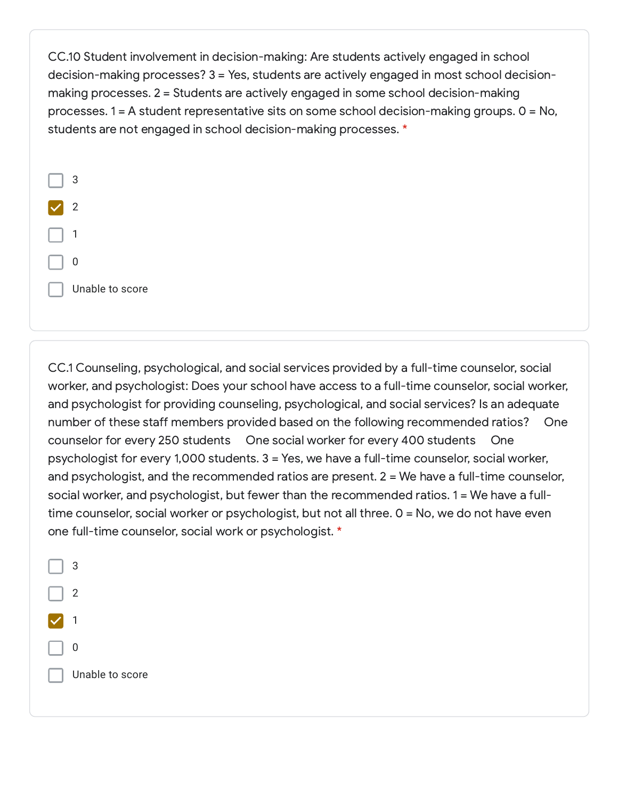CC.10 Student involvement in decision-making: Are students actively engaged in school decision-making processes? 3 = Yes, students are actively engaged in most school decisionmaking processes. 2 = Students are actively engaged in some school decision-making processes. 1 = A student representative sits on some school decision-making groups. 0 = No, students are not engaged in school decision-making processes. \*



CC.1 Counseling, psychological, and social services provided by a full-time counselor, social worker, and psychologist: Does your school have access to a full-time counselor, social worker, and psychologist for providing counseling, psychological, and social services? Is an adequate number of these staff members provided based on the following recommended ratios? One counselor for every 250 students One social worker for every 400 students One psychologist for every 1,000 students. 3 = Yes, we have a full-time counselor, social worker, and psychologist, and the recommended ratios are present. 2 = We have a full-time counselor, social worker, and psychologist, but fewer than the recommended ratios. 1 = We have a fulltime counselor, social worker or psychologist, but not all three. 0 = No, we do not have even one full-time counselor, social work or psychologist. \*

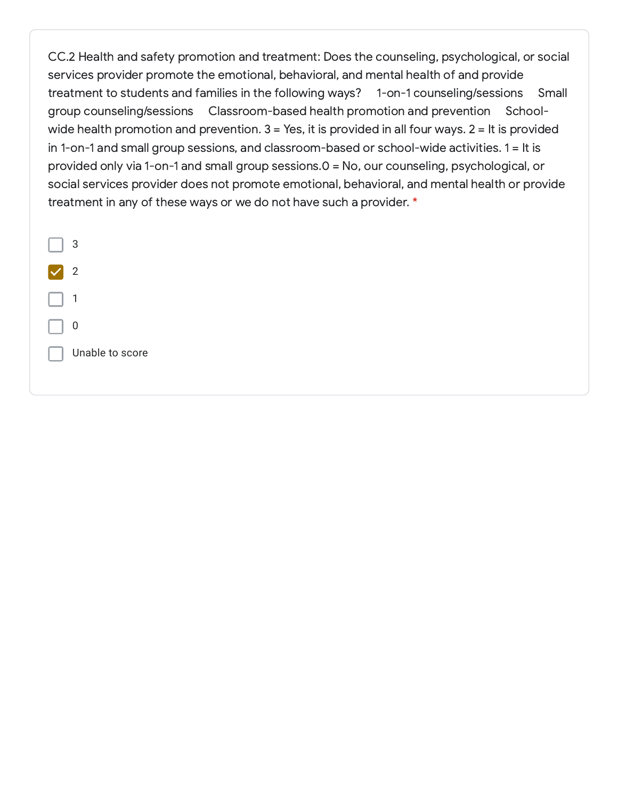CC.2 Health and safety promotion and treatment: Does the counseling, psychological, or social services provider promote the emotional, behavioral, and mental health of and provide treatment to students and families in the following ways? 1-on-1 counseling/sessions Small group counseling/sessions Classroom-based health promotion and prevention Schoolwide health promotion and prevention.  $3 = Yes$ , it is provided in all four ways.  $2 = It$  is provided in 1-on-1 and small group sessions, and classroom-based or school-wide activities. 1 = It is provided only via 1-on-1 and small group sessions.0 = No, our counseling, psychological, or social services provider does not promote emotional, behavioral, and mental health or provide treatment in any of these ways or we do not have such a provider. \*

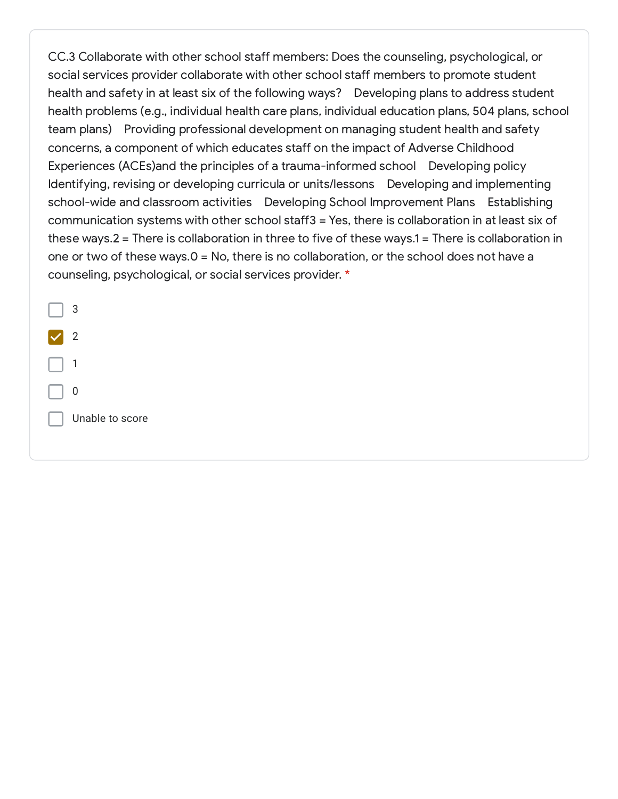CC.3 Collaborate with other school staff members: Does the counseling, psychological, or social services provider collaborate with other school staff members to promote student health and safety in at least six of the following ways? Developing plans to address student health problems (e.g., individual health care plans, individual education plans, 504 plans, school team plans) Providing professional development on managing student health and safety concerns, a component of which educates staff on the impact of Adverse Childhood Experiences (ACEs)and the principles of a trauma-informed school Developing policy Identifying, revising or developing curricula or units/lessons Developing and implementing school-wide and classroom activities Developing School Improvement Plans Establishing communication systems with other school staff3 = Yes, there is collaboration in at least six of these ways.2 = There is collaboration in three to five of these ways.1 = There is collaboration in one or two of these ways.0 = No, there is no collaboration, or the school does not have a counseling, psychological, or social services provider. \*

3 2 1 0 Unable to score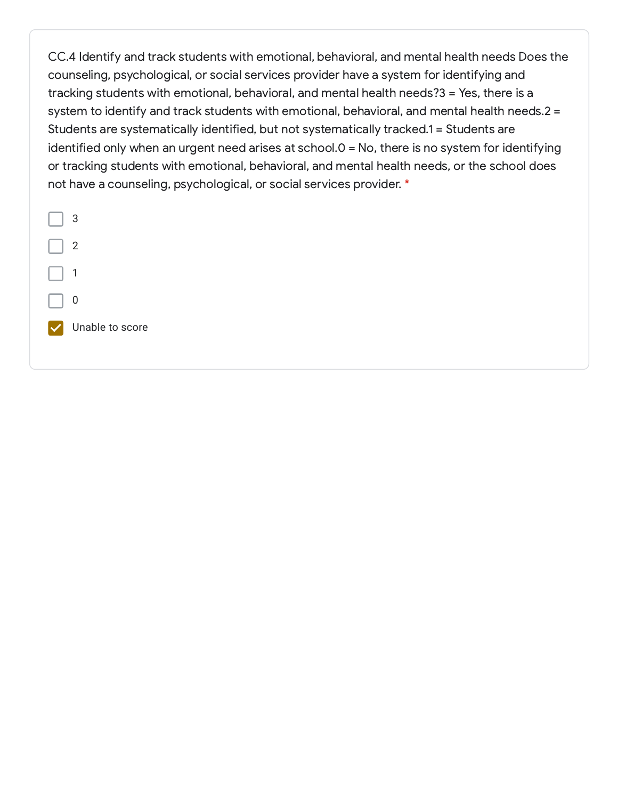CC.4 Identify and track students with emotional, behavioral, and mental health needs Does the counseling, psychological, or social services provider have a system for identifying and tracking students with emotional, behavioral, and mental health needs?3 = Yes, there is a system to identify and track students with emotional, behavioral, and mental health needs.2 = Students are systematically identified, but not systematically tracked.1 = Students are identified only when an urgent need arises at school.0 = No, there is no system for identifying or tracking students with emotional, behavioral, and mental health needs, or the school does not have a counseling, psychological, or social services provider. \*

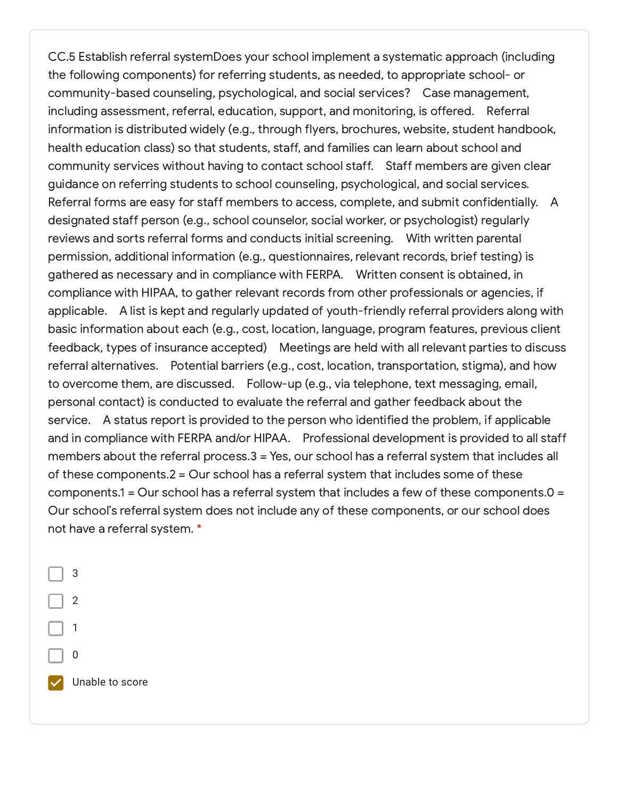CC.5 Establish referral systemDoes your school implement a systematic approach (including the following components) for referring students, as needed, to appropriate school- or community-based counseling, psychological, and social services? Case management, including assessment, referral, education, support, and monitoring, is offered. Referral information is distributed widely (e.g., through flyers, brochures, website, student handbook, health education class) so that students, staff, and families can learn about school and community services without having to contact school staff. Staff members are given clear guidance on referring students to school counseling, psychological, and social services. Referral forms are easy for staff members to access, complete, and submit confidentially. A designated staff person (e.g., school counselor, social worker, or psychologist) regularly reviews and sorts referral forms and conducts initial screening. With written parental permission, additional information (e.g., questionnaires, relevant records, brief testing) is gathered as necessary and in compliance with FERPA. Written consent is obtained, in compliance with HIPAA, to gather relevant records from other professionals or agencies, if applicable. A list is kept and regularly updated of youth-friendly referral providers along with basic information about each (e.g., cost, location, language, program features, previous client feedback, types of insurance accepted) Meetings are held with all relevant parties to discuss referral alternatives. Potential barriers (e.g., cost, location, transportation, stigma), and how to overcome them, are discussed. Follow-up (e.g., via telephone, text messaging, email, personal contact) is conducted to evaluate the referral and gather feedback about the service. A status report is provided to the person who identified the problem, if applicable and in compliance with FERPA and/or HIPAA. Professional development is provided to all staff members about the referral process.3 = Yes, our school has a referral system that includes all of these components.2 = Our school has a referral system that includes some of these components.1 = Our school has a referral system that includes a few of these components.0 = Our school's referral system does not include any of these components, or our school does not have a referral system. \*

3 2 1 0 Unable to score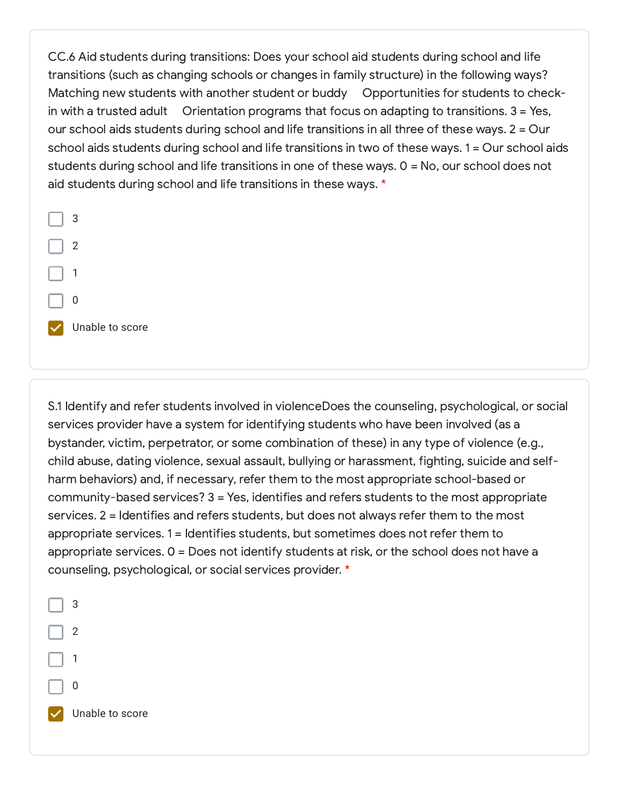CC.6 Aid students during transitions: Does your school aid students during school and life transitions (such as changing schools or changes in family structure) in the following ways? Matching new students with another student or buddy Opportunities for students to checkin with a trusted adult  $\overline{O}$  Orientation programs that focus on adapting to transitions. 3 = Yes, our school aids students during school and life transitions in all three of these ways. 2 = Our school aids students during school and life transitions in two of these ways. 1 = Our school aids students during school and life transitions in one of these ways. 0 = No, our school does not aid students during school and life transitions in these ways. \*



S.1 Identify and refer students involved in violenceDoes the counseling, psychological, or social services provider have a system for identifying students who have been involved (as a bystander, victim, perpetrator, or some combination of these) in any type of violence (e.g., child abuse, dating violence, sexual assault, bullying or harassment, fighting, suicide and selfharm behaviors) and, if necessary, refer them to the most appropriate school-based or community-based services? 3 = Yes, identifies and refers students to the most appropriate services. 2 = Identifies and refers students, but does not always refer them to the most appropriate services. 1 = Identifies students, but sometimes does not refer them to appropriate services. 0 = Does not identify students at risk, or the school does not have a counseling, psychological, or social services provider. \*

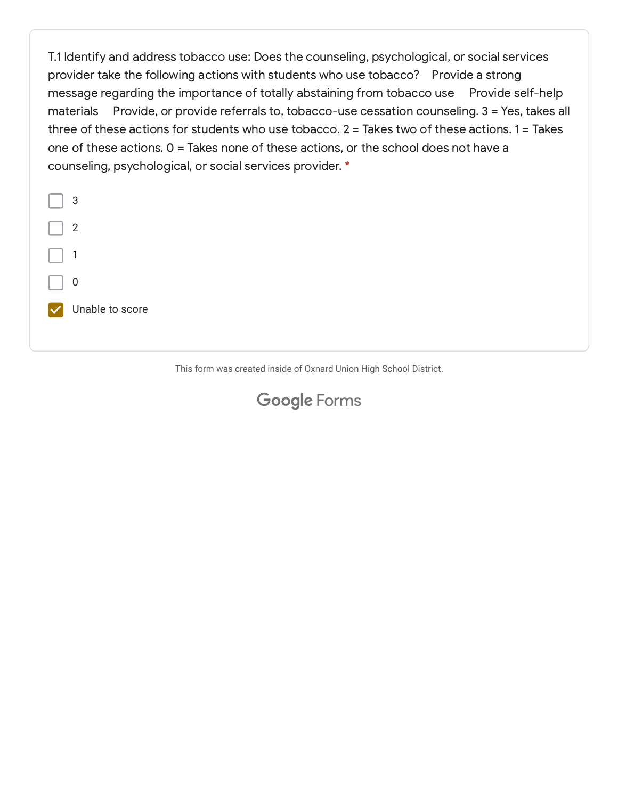T.1 Identify and address tobacco use: Does the counseling, psychological, or social services provider take the following actions with students who use tobacco? Provide a strong message regarding the importance of totally abstaining from tobacco use Provide self-help materials Provide, or provide referrals to, tobacco-use cessation counseling. 3 = Yes, takes all three of these actions for students who use tobacco. 2 = Takes two of these actions. 1 = Takes one of these actions. 0 = Takes none of these actions, or the school does not have a counseling, psychological, or social services provider. \*



This form was created inside of Oxnard Union High School District.

#### **Google [Forms](https://www.google.com/forms/about/?utm_source=product&utm_medium=forms_logo&utm_campaign=forms)**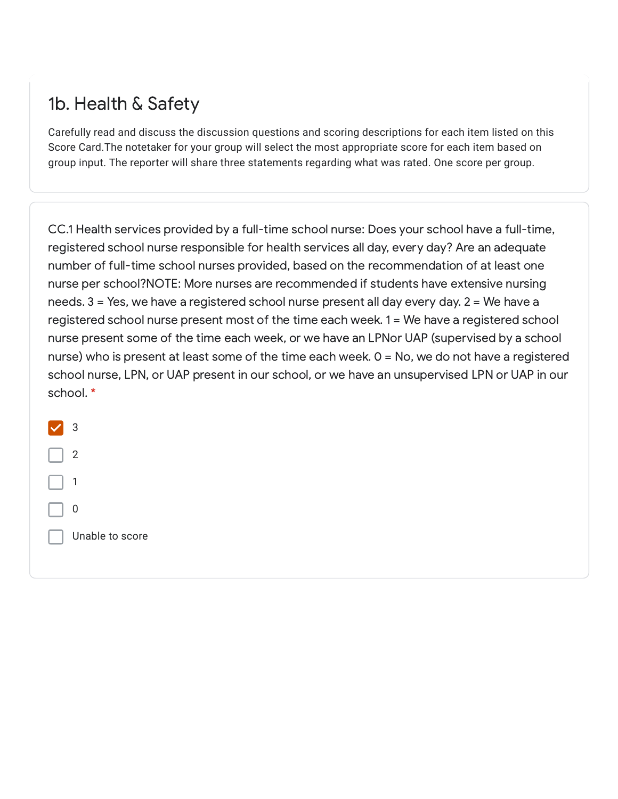## 1b. Health & Safety

Carefully read and discuss the discussion questions and scoring descriptions for each item listed on this Score Card.The notetaker for your group will select the most appropriate score for each item based on group input. The reporter will share three statements regarding what was rated. One score per group.

CC.1 Health services provided by a full-time school nurse: Does your school have a full-time, registered school nurse responsible for health services all day, every day? Are an adequate number of full-time school nurses provided, based on the recommendation of at least one nurse per school?NOTE: More nurses are recommended if students have extensive nursing needs. 3 = Yes, we have a registered school nurse present all day every day. 2 = We have a registered school nurse present most of the time each week. 1 = We have a registered school nurse present some of the time each week, or we have an LPNor UAP (supervised by a school nurse) who is present at least some of the time each week. 0 = No, we do not have a registered school nurse, LPN, or UAP present in our school, or we have an unsupervised LPN or UAP in our school. \*

| 3               |
|-----------------|
| 2               |
| 1               |
| 0               |
| Unable to score |
|                 |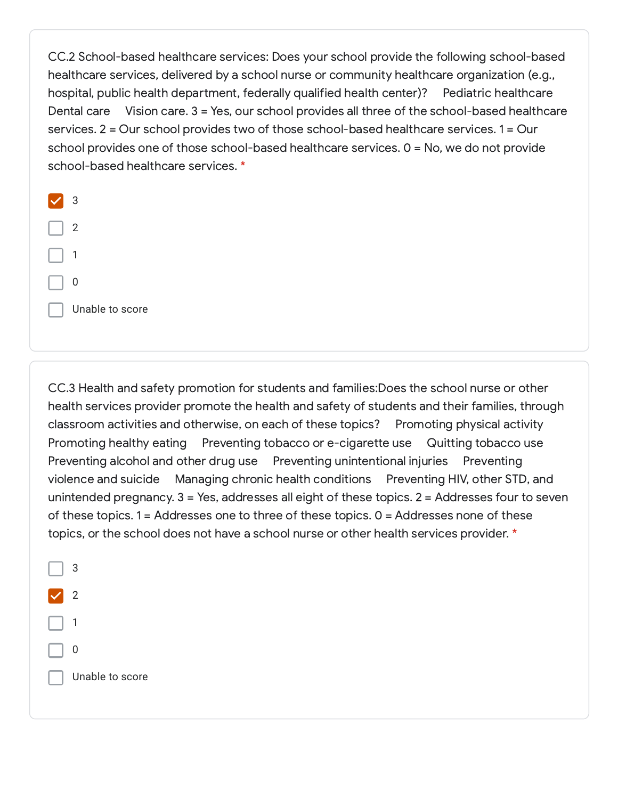CC.2 School-based healthcare services: Does your school provide the following school-based healthcare services, delivered by a school nurse or community healthcare organization (e.g., hospital, public health department, federally qualified health center)? Pediatric healthcare Dental care Vision care. 3 = Yes, our school provides all three of the school-based healthcare services. 2 = Our school provides two of those school-based healthcare services. 1 = Our school provides one of those school-based healthcare services. 0 = No, we do not provide school-based healthcare services. \*

| 3               |
|-----------------|
| 2               |
| 1               |
| 0               |
| Unable to score |
|                 |

CC.3 Health and safety promotion for students and families:Does the school nurse or other health services provider promote the health and safety of students and their families, through classroom activities and otherwise, on each of these topics? Promoting physical activity Promoting healthy eating Preventing tobacco or e-cigarette use Quitting tobacco use Preventing alcohol and other drug use Preventing unintentional injuries Preventing violence and suicide Managing chronic health conditions Preventing HIV, other STD, and unintended pregnancy. 3 = Yes, addresses all eight of these topics. 2 = Addresses four to seven of these topics. 1 = Addresses one to three of these topics. 0 = Addresses none of these topics, or the school does not have a school nurse or other health services provider. \*

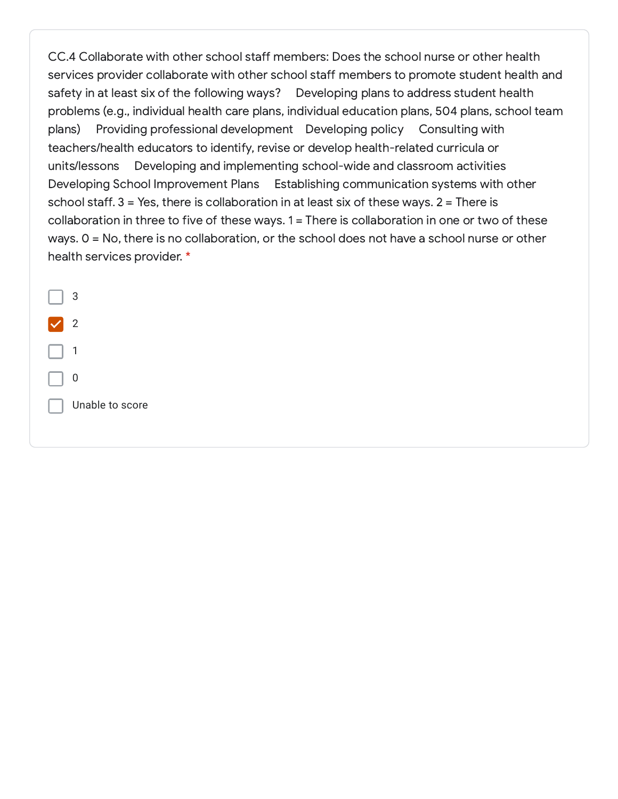CC.4 Collaborate with other school staff members: Does the school nurse or other health services provider collaborate with other school staff members to promote student health and safety in at least six of the following ways? Developing plans to address student health problems (e.g., individual health care plans, individual education plans, 504 plans, school team plans) Providing professional development Developing policy Consulting with teachers/health educators to identify, revise or develop health-related curricula or units/lessons Developing and implementing school-wide and classroom activities Developing School Improvement Plans Establishing communication systems with other school staff.  $3 = Yes$ , there is collaboration in at least six of these ways.  $2 = There$  is collaboration in three to five of these ways. 1 = There is collaboration in one or two of these ways. 0 = No, there is no collaboration, or the school does not have a school nurse or other health services provider. \*

| 3               |
|-----------------|
| 2               |
| 1               |
| 0               |
| Unable to score |
|                 |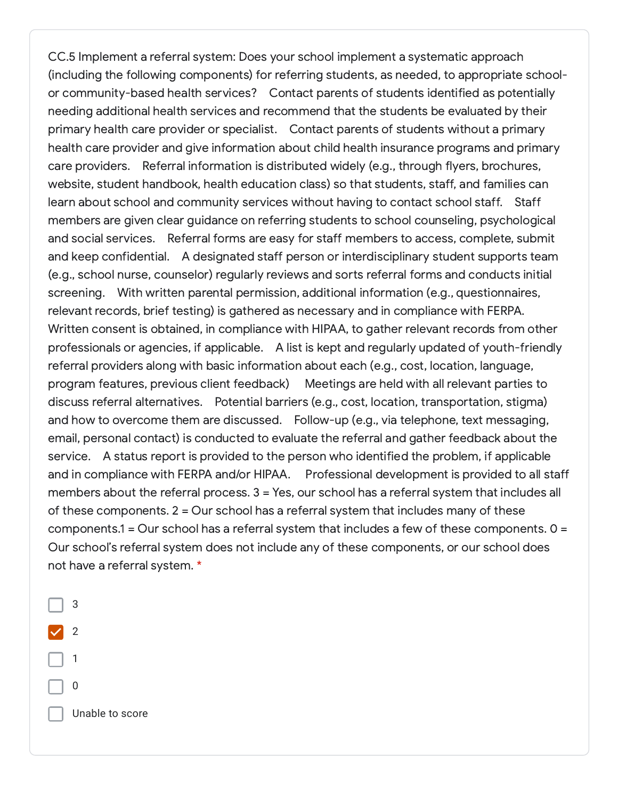CC.5 Implement a referral system: Does your school implement a systematic approach (including the following components) for referring students, as needed, to appropriate schoolor community-based health services? Contact parents of students identified as potentially needing additional health services and recommend that the students be evaluated by their primary health care provider or specialist. Contact parents of students without a primary health care provider and give information about child health insurance programs and primary care providers. Referral information is distributed widely (e.g., through flyers, brochures, website, student handbook, health education class) so that students, staff, and families can learn about school and community services without having to contact school staff. Staff members are given clear guidance on referring students to school counseling, psychological and social services. Referral forms are easy for staff members to access, complete, submit and keep confidential. A designated staff person or interdisciplinary student supports team (e.g., school nurse, counselor) regularly reviews and sorts referral forms and conducts initial screening. With written parental permission, additional information (e.g., questionnaires, relevant records, brief testing) is gathered as necessary and in compliance with FERPA. Written consent is obtained, in compliance with HIPAA, to gather relevant records from other professionals or agencies, if applicable. A list is kept and regularly updated of youth-friendly referral providers along with basic information about each (e.g., cost, location, language, program features, previous client feedback) Meetings are held with all relevant parties to discuss referral alternatives. Potential barriers (e.g., cost, location, transportation, stigma) and how to overcome them are discussed. Follow-up (e.g., via telephone, text messaging, email, personal contact) is conducted to evaluate the referral and gather feedback about the service. A status report is provided to the person who identified the problem, if applicable and in compliance with FERPA and/or HIPAA. Professional development is provided to all staff members about the referral process. 3 = Yes, our school has a referral system that includes all of these components. 2 = Our school has a referral system that includes many of these components.1 = Our school has a referral system that includes a few of these components. 0 = Our school's referral system does not include any of these components, or our school does not have a referral system. \*

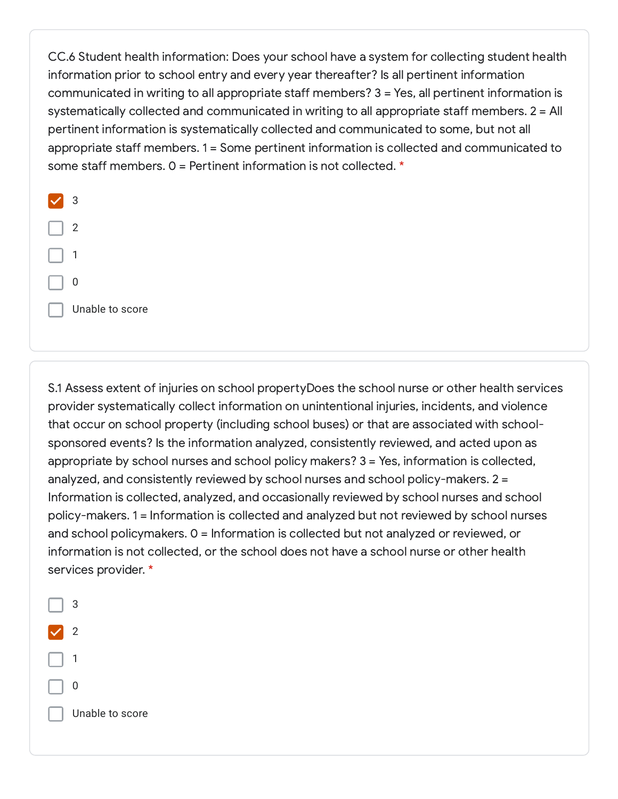CC.6 Student health information: Does your school have a system for collecting student health information prior to school entry and every year thereafter? Is all pertinent information communicated in writing to all appropriate staff members? 3 = Yes, all pertinent information is systematically collected and communicated in writing to all appropriate staff members. 2 = All pertinent information is systematically collected and communicated to some, but not all appropriate staff members. 1 = Some pertinent information is collected and communicated to some staff members. 0 = Pertinent information is not collected. \*



S.1 Assess extent of injuries on school propertyDoes the school nurse or other health services provider systematically collect information on unintentional injuries, incidents, and violence that occur on school property (including school buses) or that are associated with schoolsponsored events? Is the information analyzed, consistently reviewed, and acted upon as appropriate by school nurses and school policy makers? 3 = Yes, information is collected, analyzed, and consistently reviewed by school nurses and school policy-makers. 2 = Information is collected, analyzed, and occasionally reviewed by school nurses and school policy-makers. 1 = Information is collected and analyzed but not reviewed by school nurses and school policymakers. 0 = Information is collected but not analyzed or reviewed, or information is not collected, or the school does not have a school nurse or other health services provider. \*

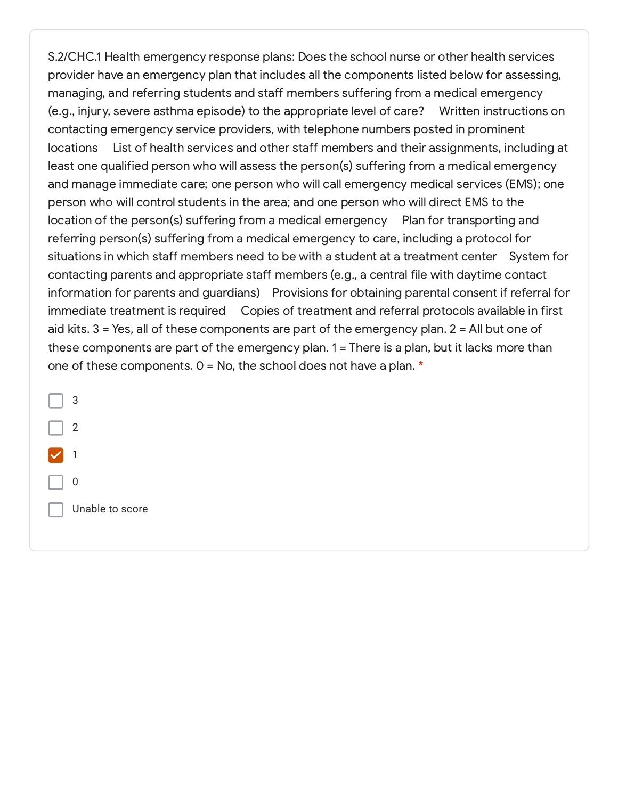S.2/CHC.1 Health emergency response plans: Does the school nurse or other health services provider have an emergency plan that includes all the components listed below for assessing, managing, and referring students and staff members suffering from a medical emergency (e.g., injury, severe asthma episode) to the appropriate level of care? Written instructions on contacting emergency service providers, with telephone numbers posted in prominent locations List of health services and other staff members and their assignments, including at least one qualified person who will assess the person(s) suffering from a medical emergency and manage immediate care; one person who will call emergency medical services (EMS); one person who will control students in the area; and one person who will direct EMS to the location of the person(s) suffering from a medical emergency Plan for transporting and referring person(s) suffering from a medical emergency to care, including a protocol for situations in which staff members need to be with a student at a treatment center System for contacting parents and appropriate staff members (e.g., a central file with daytime contact information for parents and guardians) Provisions for obtaining parental consent if referral for immediate treatment is required Copies of treatment and referral protocols available in first aid kits. 3 = Yes, all of these components are part of the emergency plan. 2 = All but one of these components are part of the emergency plan. 1 = There is a plan, but it lacks more than one of these components.  $0 = No$ , the school does not have a plan.  $*$ 

3 2 1 0 Unable to score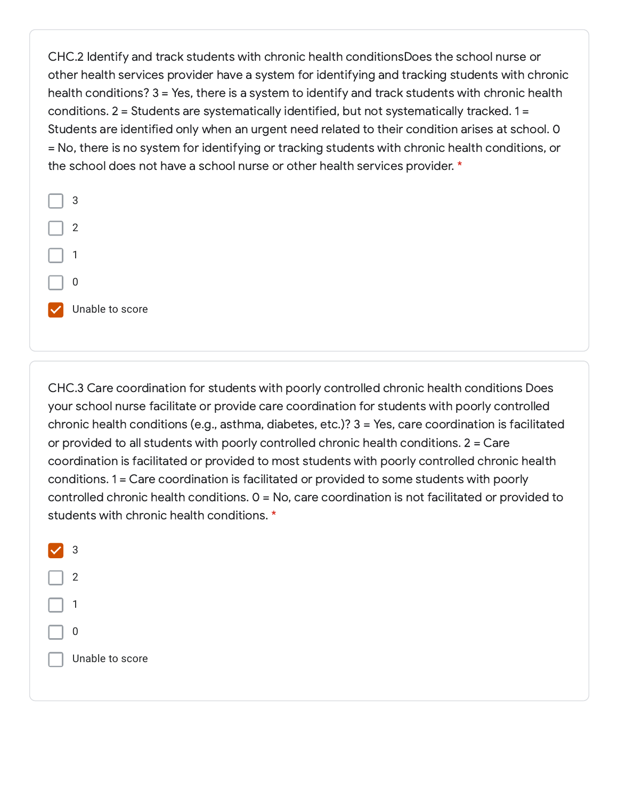CHC.2 Identify and track students with chronic health conditionsDoes the school nurse or other health services provider have a system for identifying and tracking students with chronic health conditions? 3 = Yes, there is a system to identify and track students with chronic health conditions. 2 = Students are systematically identified, but not systematically tracked. 1 = Students are identified only when an urgent need related to their condition arises at school. 0 = No, there is no system for identifying or tracking students with chronic health conditions, or the school does not have a school nurse or other health services provider. \*



CHC.3 Care coordination for students with poorly controlled chronic health conditions Does your school nurse facilitate or provide care coordination for students with poorly controlled chronic health conditions (e.g., asthma, diabetes, etc.)? 3 = Yes, care coordination is facilitated or provided to all students with poorly controlled chronic health conditions. 2 = Care coordination is facilitated or provided to most students with poorly controlled chronic health conditions. 1 = Care coordination is facilitated or provided to some students with poorly controlled chronic health conditions. 0 = No, care coordination is not facilitated or provided to students with chronic health conditions. \*

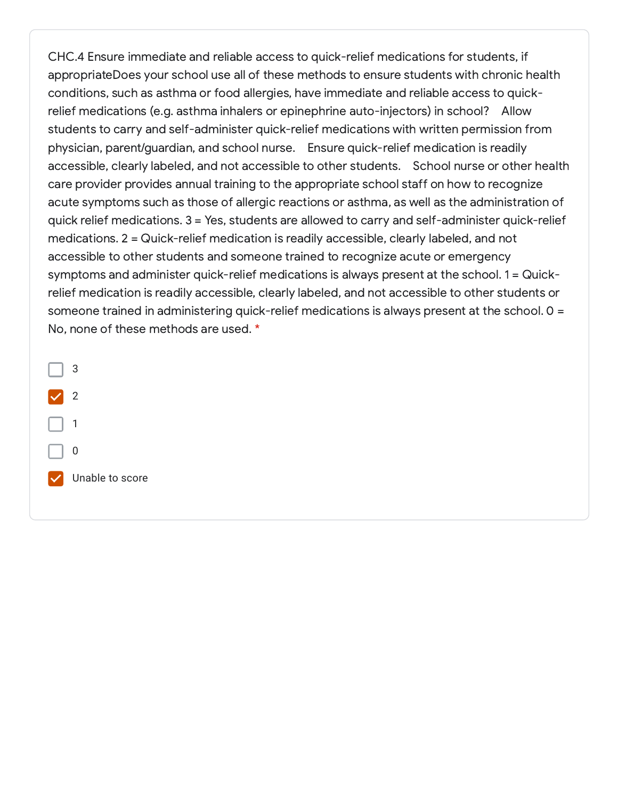CHC.4 Ensure immediate and reliable access to quick-relief medications for students, if appropriateDoes your school use all of these methods to ensure students with chronic health conditions, such as asthma or food allergies, have immediate and reliable access to quickrelief medications (e.g. asthma inhalers or epinephrine auto-injectors) in school? Allow students to carry and self-administer quick-relief medications with written permission from physician, parent/guardian, and school nurse. Ensure quick-relief medication is readily accessible, clearly labeled, and not accessible to other students. School nurse or other health care provider provides annual training to the appropriate school staff on how to recognize acute symptoms such as those of allergic reactions or asthma, as well as the administration of quick relief medications. 3 = Yes, students are allowed to carry and self-administer quick-relief medications. 2 = Quick-relief medication is readily accessible, clearly labeled, and not accessible to other students and someone trained to recognize acute or emergency symptoms and administer quick-relief medications is always present at the school. 1 = Quickrelief medication is readily accessible, clearly labeled, and not accessible to other students or someone trained in administering quick-relief medications is always present at the school. 0 = No, none of these methods are used. \*

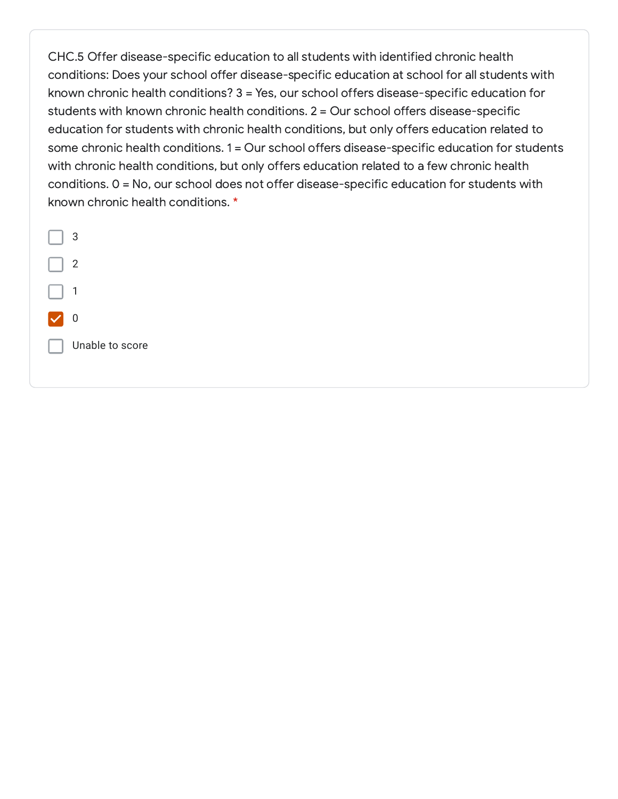CHC.5 Offer disease-specific education to all students with identified chronic health conditions: Does your school offer disease-specific education at school for all students with known chronic health conditions? 3 = Yes, our school offers disease-specific education for students with known chronic health conditions. 2 = Our school offers disease-specific education for students with chronic health conditions, but only offers education related to some chronic health conditions. 1 = Our school offers disease-specific education for students with chronic health conditions, but only offers education related to a few chronic health conditions. 0 = No, our school does not offer disease-specific education for students with known chronic health conditions. \*

| 3               |
|-----------------|
| 2               |
| 1               |
| 0               |
| Unable to score |
|                 |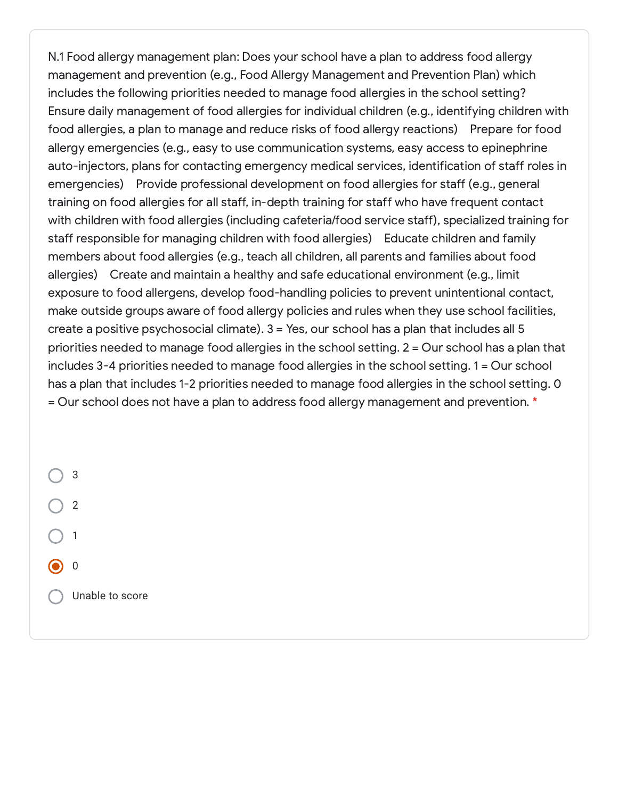N.1 Food allergy management plan: Does your school have a plan to address food allergy management and prevention (e.g., Food Allergy Management and Prevention Plan) which includes the following priorities needed to manage food allergies in the school setting? Ensure daily management of food allergies for individual children (e.g., identifying children with food allergies, a plan to manage and reduce risks of food allergy reactions) Prepare for food allergy emergencies (e.g., easy to use communication systems, easy access to epinephrine auto-injectors, plans for contacting emergency medical services, identification of staff roles in emergencies) Provide professional development on food allergies for staff (e.g., general training on food allergies for all staff, in-depth training for staff who have frequent contact with children with food allergies (including cafeteria/food service staff), specialized training for staff responsible for managing children with food allergies) Educate children and family members about food allergies (e.g., teach all children, all parents and families about food allergies) Create and maintain a healthy and safe educational environment (e.g., limit exposure to food allergens, develop food-handling policies to prevent unintentional contact, make outside groups aware of food allergy policies and rules when they use school facilities, create a positive psychosocial climate). 3 = Yes, our school has a plan that includes all 5 priorities needed to manage food allergies in the school setting. 2 = Our school has a plan that includes 3-4 priorities needed to manage food allergies in the school setting. 1 = Our school has a plan that includes 1-2 priorities needed to manage food allergies in the school setting. 0 = Our school does not have a plan to address food allergy management and prevention. \*

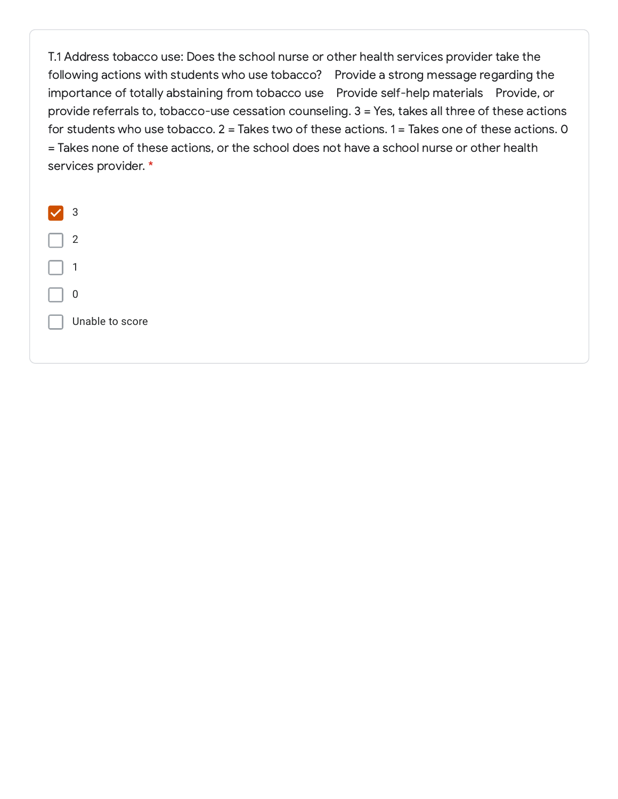T.1 Address tobacco use: Does the school nurse or other health services provider take the following actions with students who use tobacco? Provide a strong message regarding the importance of totally abstaining from tobacco use Provide self-help materials Provide, or provide referrals to, tobacco-use cessation counseling. 3 = Yes, takes all three of these actions for students who use tobacco. 2 = Takes two of these actions. 1 = Takes one of these actions. 0 = Takes none of these actions, or the school does not have a school nurse or other health services provider. \*

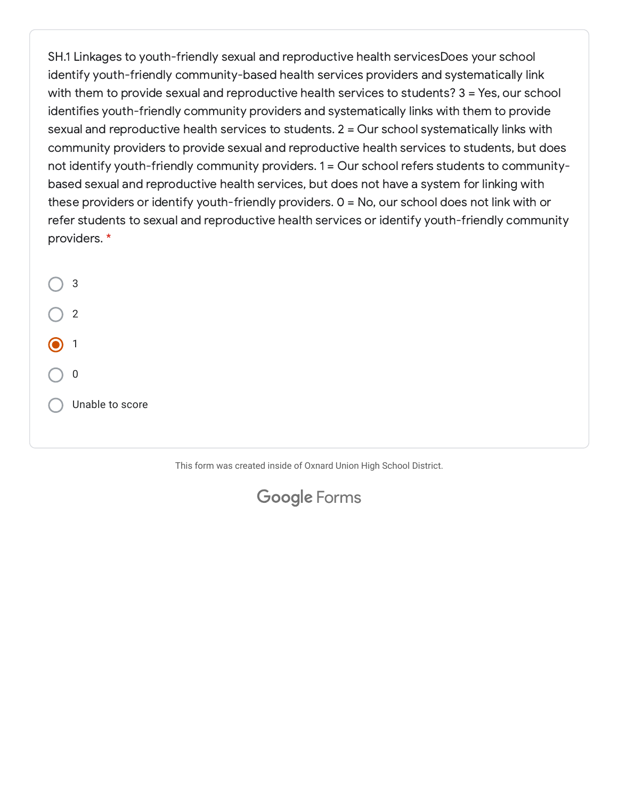SH.1 Linkages to youth-friendly sexual and reproductive health servicesDoes your school identify youth-friendly community-based health services providers and systematically link with them to provide sexual and reproductive health services to students?  $3 = Yes$ , our school identifies youth-friendly community providers and systematically links with them to provide sexual and reproductive health services to students. 2 = Our school systematically links with community providers to provide sexual and reproductive health services to students, but does not identify youth-friendly community providers. 1 = Our school refers students to communitybased sexual and reproductive health services, but does not have a system for linking with these providers or identify youth-friendly providers. 0 = No, our school does not link with or refer students to sexual and reproductive health services or identify youth-friendly community providers. \*

3 2 1 0 Unable to score

This form was created inside of Oxnard Union High School District.

## Google [Forms](https://www.google.com/forms/about/?utm_source=product&utm_medium=forms_logo&utm_campaign=forms)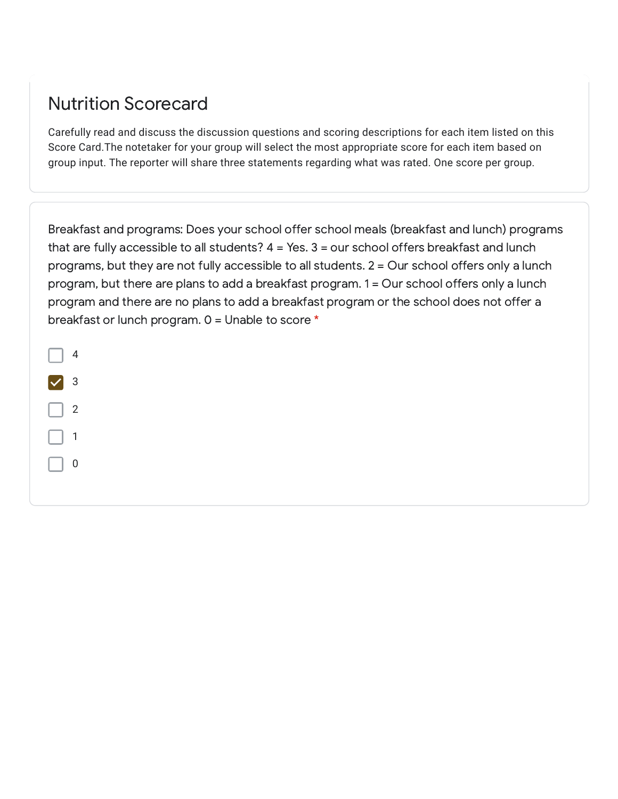#### Nutrition Scorecard

Carefully read and discuss the discussion questions and scoring descriptions for each item listed on this Score Card.The notetaker for your group will select the most appropriate score for each item based on group input. The reporter will share three statements regarding what was rated. One score per group.

Breakfast and programs: Does your school offer school meals (breakfast and lunch) programs that are fully accessible to all students?  $4 = Yes. 3 = our school offers breakfast and lunch$ programs, but they are not fully accessible to all students. 2 = Our school offers only a lunch program, but there are plans to add a breakfast program. 1 = Our school offers only a lunch program and there are no plans to add a breakfast program or the school does not offer a breakfast or lunch program. 0 = Unable to score \*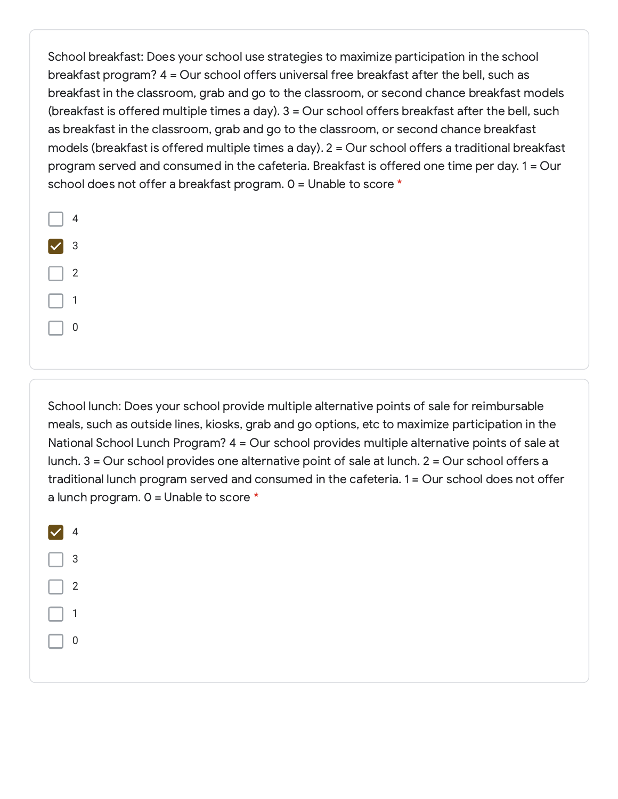School breakfast: Does your school use strategies to maximize participation in the school breakfast program? 4 = Our school offers universal free breakfast after the bell, such as breakfast in the classroom, grab and go to the classroom, or second chance breakfast models (breakfast is offered multiple times a day). 3 = Our school offers breakfast after the bell, such as breakfast in the classroom, grab and go to the classroom, or second chance breakfast models (breakfast is offered multiple times a day). 2 = Our school offers a traditional breakfast program served and consumed in the cafeteria. Breakfast is offered one time per day. 1 = Our school does not offer a breakfast program. 0 = Unable to score \*

|                      | 4                       |
|----------------------|-------------------------|
| $\blacktriangledown$ | $\overline{\mathbf{3}}$ |
|                      | 2                       |
|                      | $\mathbf{1}$            |
|                      | D                       |

School lunch: Does your school provide multiple alternative points of sale for reimbursable meals, such as outside lines, kiosks, grab and go options, etc to maximize participation in the National School Lunch Program? 4 = Our school provides multiple alternative points of sale at lunch. 3 = Our school provides one alternative point of sale at lunch. 2 = Our school offers a traditional lunch program served and consumed in the cafeteria. 1 = Our school does not offer a lunch program.  $0 =$  Unable to score  $*$ 

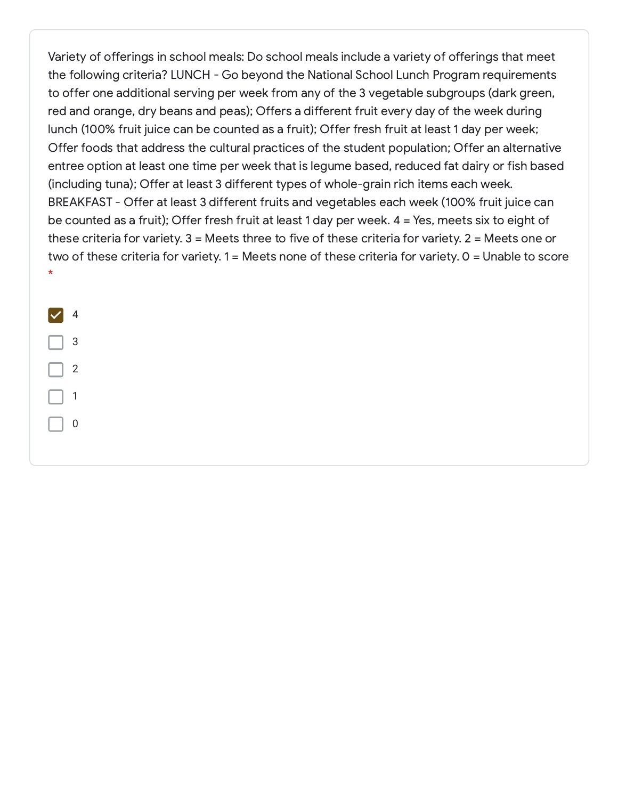Variety of offerings in school meals: Do school meals include a variety of offerings that meet the following criteria? LUNCH - Go beyond the National School Lunch Program requirements to offer one additional serving per week from any of the 3 vegetable subgroups (dark green, red and orange, dry beans and peas); Offers a different fruit every day of the week during lunch (100% fruit juice can be counted as a fruit); Offer fresh fruit at least 1 day per week; Offer foods that address the cultural practices of the student population; Offer an alternative entree option at least one time per week that is legume based, reduced fat dairy or fish based (including tuna); Offer at least 3 different types of whole-grain rich items each week. BREAKFAST - Offer at least 3 different fruits and vegetables each week (100% fruit juice can be counted as a fruit); Offer fresh fruit at least 1 day per week. 4 = Yes, meets six to eight of these criteria for variety. 3 = Meets three to five of these criteria for variety. 2 = Meets one or two of these criteria for variety. 1 = Meets none of these criteria for variety. 0 = Unable to score \*

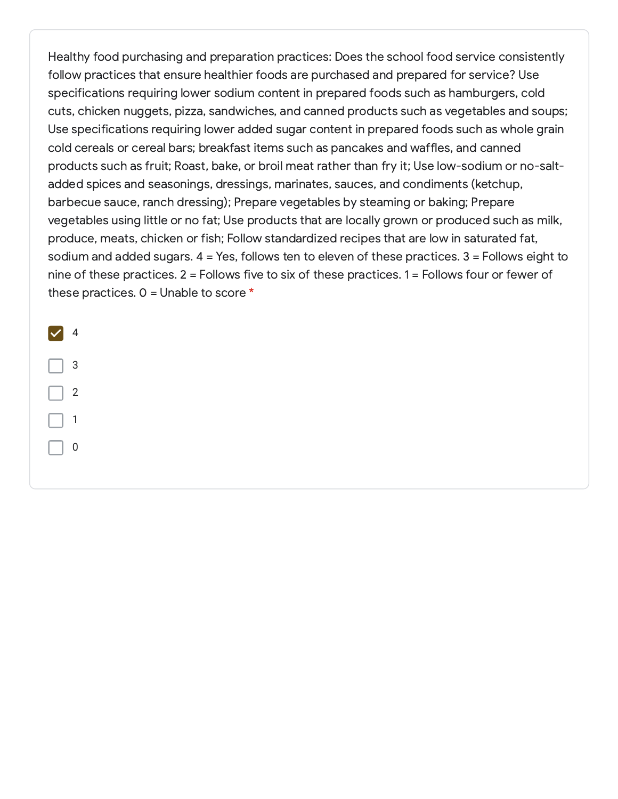Healthy food purchasing and preparation practices: Does the school food service consistently follow practices that ensure healthier foods are purchased and prepared for service? Use specifications requiring lower sodium content in prepared foods such as hamburgers, cold cuts, chicken nuggets, pizza, sandwiches, and canned products such as vegetables and soups; Use specifications requiring lower added sugar content in prepared foods such as whole grain cold cereals or cereal bars; breakfast items such as pancakes and waffles, and canned products such as fruit; Roast, bake, or broil meat rather than fry it; Use low-sodium or no-saltadded spices and seasonings, dressings, marinates, sauces, and condiments (ketchup, barbecue sauce, ranch dressing); Prepare vegetables by steaming or baking; Prepare vegetables using little or no fat; Use products that are locally grown or produced such as milk, produce, meats, chicken or fish; Follow standardized recipes that are low in saturated fat, sodium and added sugars. 4 = Yes, follows ten to eleven of these practices. 3 = Follows eight to nine of these practices. 2 = Follows five to six of these practices. 1 = Follows four or fewer of these practices.  $0 =$  Unable to score  $*$ 

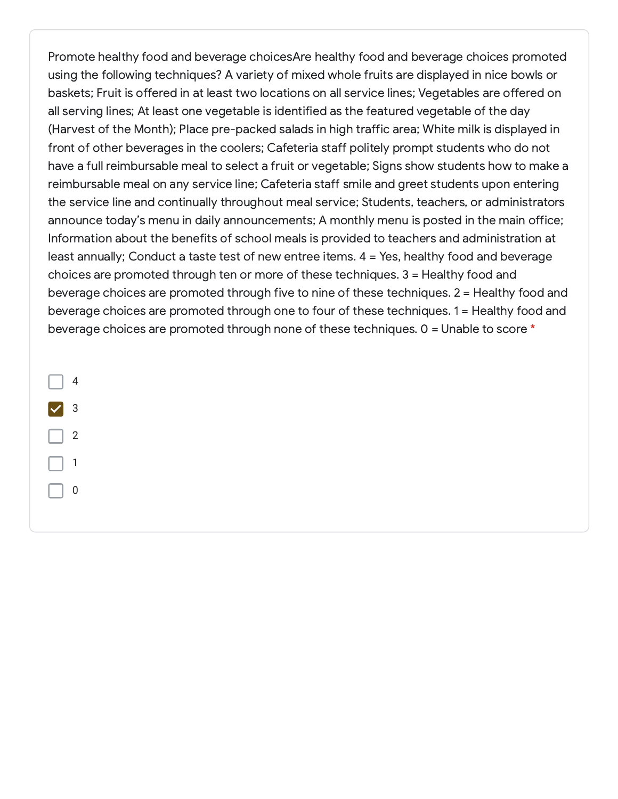Promote healthy food and beverage choicesAre healthy food and beverage choices promoted using the following techniques? A variety of mixed whole fruits are displayed in nice bowls or baskets; Fruit is offered in at least two locations on all service lines; Vegetables are offered on all serving lines; At least one vegetable is identified as the featured vegetable of the day (Harvest of the Month); Place pre-packed salads in high traffic area; White milk is displayed in front of other beverages in the coolers; Cafeteria staff politely prompt students who do not have a full reimbursable meal to select a fruit or vegetable; Signs show students how to make a reimbursable meal on any service line; Cafeteria staff smile and greet students upon entering the service line and continually throughout meal service; Students, teachers, or administrators announce today's menu in daily announcements; A monthly menu is posted in the main office; Information about the benefits of school meals is provided to teachers and administration at least annually; Conduct a taste test of new entree items. 4 = Yes, healthy food and beverage choices are promoted through ten or more of these techniques. 3 = Healthy food and beverage choices are promoted through five to nine of these techniques. 2 = Healthy food and beverage choices are promoted through one to four of these techniques. 1 = Healthy food and beverage choices are promoted through none of these techniques. 0 = Unable to score \*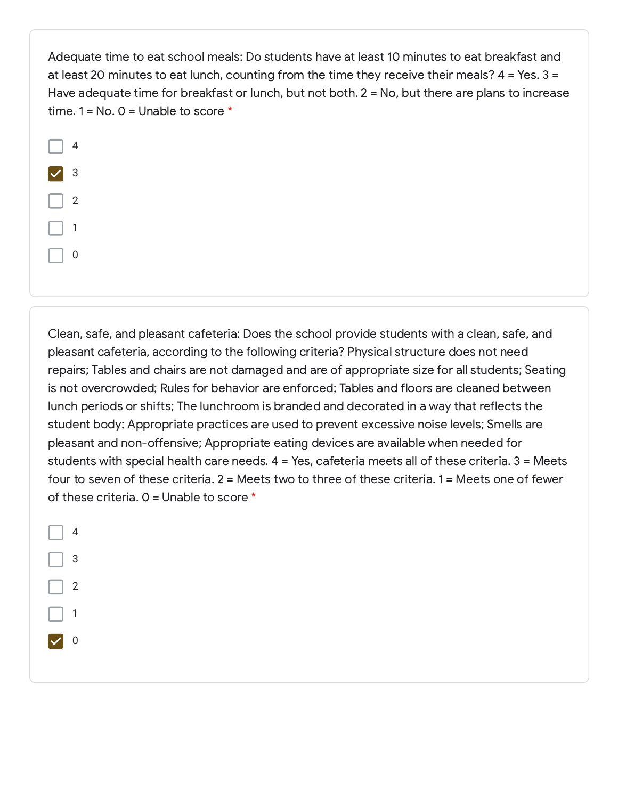Adequate time to eat school meals: Do students have at least 10 minutes to eat breakfast and at least 20 minutes to eat lunch, counting from the time they receive their meals?  $4 = Yes. 3 =$ Have adequate time for breakfast or lunch, but not both. 2 = No, but there are plans to increase time.  $1 = No. 0 = Unable to score *$ 



Clean, safe, and pleasant cafeteria: Does the school provide students with a clean, safe, and pleasant cafeteria, according to the following criteria? Physical structure does not need repairs; Tables and chairs are not damaged and are of appropriate size for all students; Seating is not overcrowded; Rules for behavior are enforced; Tables and floors are cleaned between lunch periods or shifts; The lunchroom is branded and decorated in a way that reflects the student body; Appropriate practices are used to prevent excessive noise levels; Smells are pleasant and non-offensive; Appropriate eating devices are available when needed for students with special health care needs. 4 = Yes, cafeteria meets all of these criteria. 3 = Meets four to seven of these criteria. 2 = Meets two to three of these criteria. 1 = Meets one of fewer of these criteria.  $0 =$  Unable to score  $*$ 

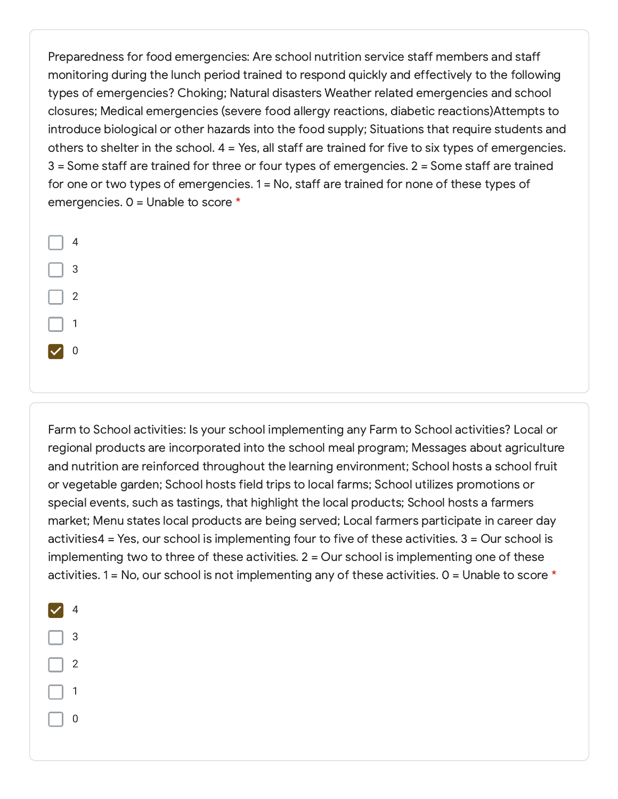Preparedness for food emergencies: Are school nutrition service staff members and staff monitoring during the lunch period trained to respond quickly and effectively to the following types of emergencies? Choking; Natural disasters Weather related emergencies and school closures; Medical emergencies (severe food allergy reactions, diabetic reactions)Attempts to introduce biological or other hazards into the food supply; Situations that require students and others to shelter in the school. 4 = Yes, all staff are trained for five to six types of emergencies. 3 = Some staff are trained for three or four types of emergencies. 2 = Some staff are trained for one or two types of emergencies. 1 = No, staff are trained for none of these types of emergencies. 0 = Unable to score \*

Farm to School activities: Is your school implementing any Farm to School activities? Local or regional products are incorporated into the school meal program; Messages about agriculture and nutrition are reinforced throughout the learning environment; School hosts a school fruit or vegetable garden; School hosts field trips to local farms; School utilizes promotions or special events, such as tastings, that highlight the local products; School hosts a farmers market; Menu states local products are being served; Local farmers participate in career day activities4 = Yes, our school is implementing four to five of these activities. 3 = Our school is implementing two to three of these activities. 2 = Our school is implementing one of these activities. 1 = No, our school is not implementing any of these activities.  $0 =$  Unable to score  $*$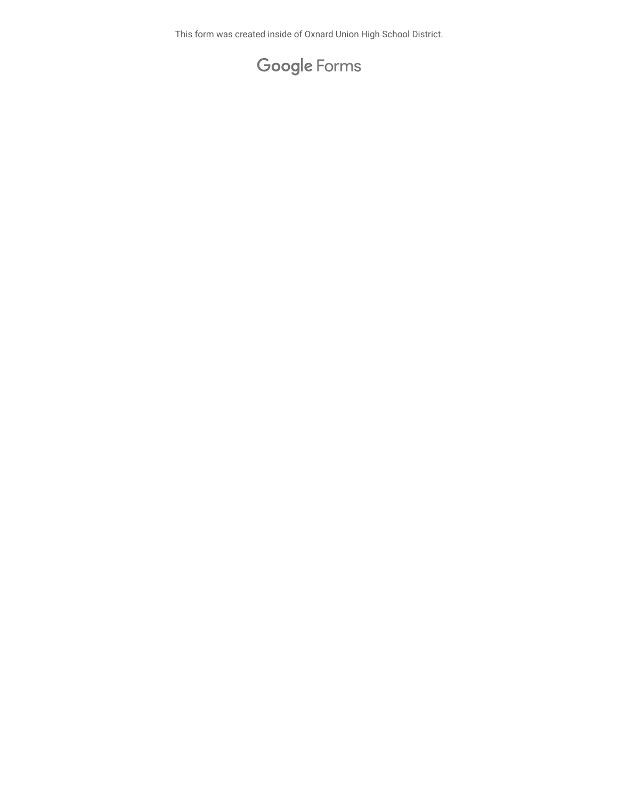This form was created inside of Oxnard Union High School District.

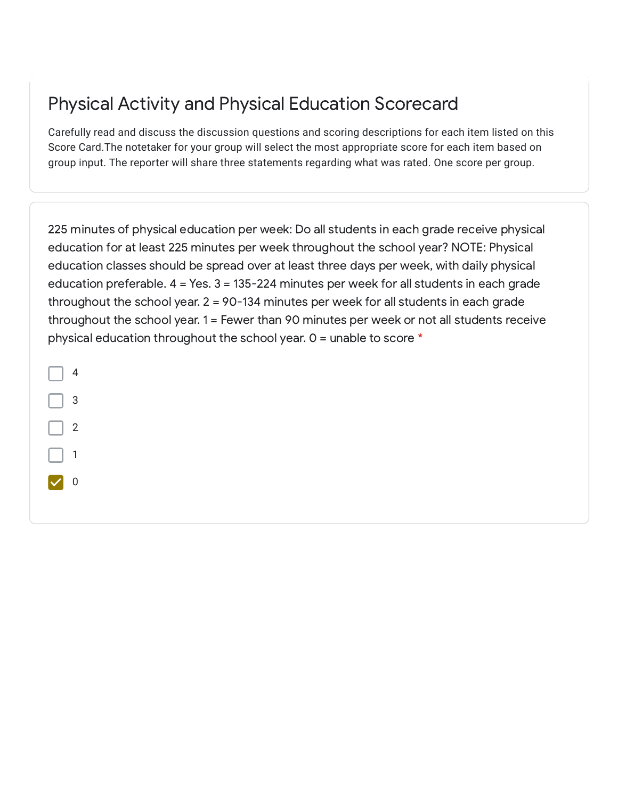# Physical Activity and Physical Education Scorecard

Carefully read and discuss the discussion questions and scoring descriptions for each item listed on this Score Card.The notetaker for your group will select the most appropriate score for each item based on group input. The reporter will share three statements regarding what was rated. One score per group.

225 minutes of physical education per week: Do all students in each grade receive physical education for at least 225 minutes per week throughout the school year? NOTE: Physical education classes should be spread over at least three days per week, with daily physical education preferable. 4 = Yes. 3 = 135-224 minutes per week for all students in each grade throughout the school year. 2 = 90-134 minutes per week for all students in each grade throughout the school year. 1 = Fewer than 90 minutes per week or not all students receive physical education throughout the school year.  $0 =$  unable to score  $*$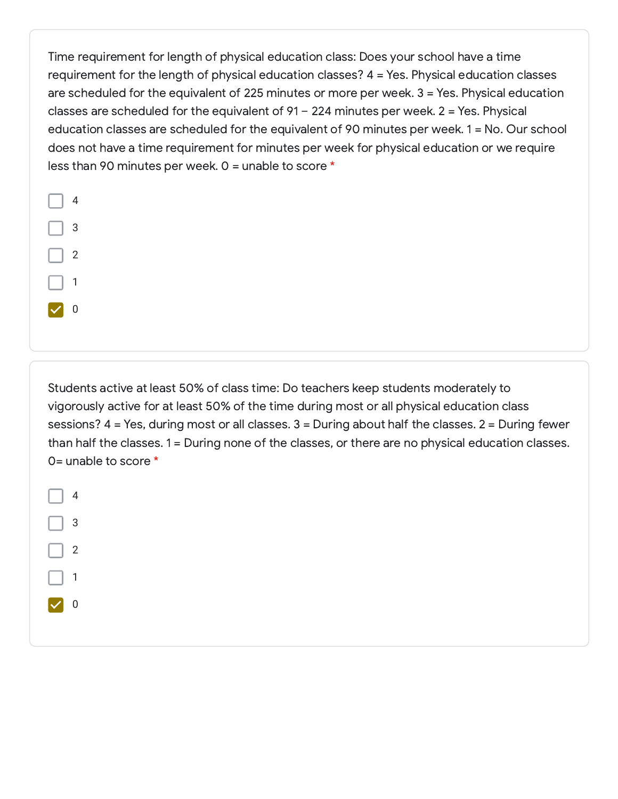Time requirement for length of physical education class: Does your school have a time requirement for the length of physical education classes? 4 = Yes. Physical education classes are scheduled for the equivalent of 225 minutes or more per week. 3 = Yes. Physical education classes are scheduled for the equivalent of  $91 - 224$  minutes per week.  $2 = Yes$ . Physical education classes are scheduled for the equivalent of 90 minutes per week. 1 = No. Our school does not have a time requirement for minutes per week for physical education or we require less than 90 minutes per week.  $0 =$  unable to score  $*$ 



Students active at least 50% of class time: Do teachers keep students moderately to vigorously active for at least 50% of the time during most or all physical education class sessions? 4 = Yes, during most or all classes. 3 = During about half the classes. 2 = During fewer than half the classes. 1 = During none of the classes, or there are no physical education classes. 0= unable to score \*

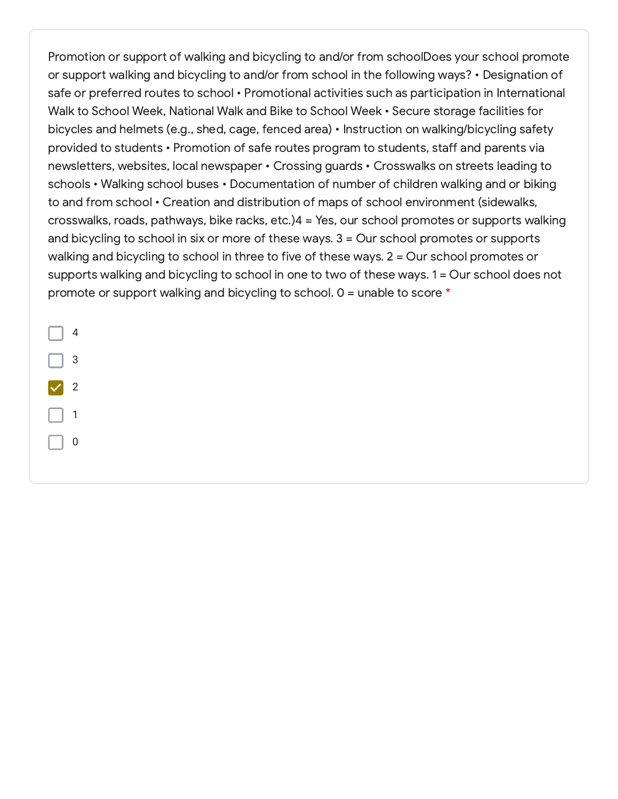Promotion or support of walking and bicycling to and/or from schoolDoes your school promote or support walking and bicycling to and/or from school in the following ways? • Designation of safe or preferred routes to school • Promotional activities such as participation in International Walk to School Week, National Walk and Bike to School Week • Secure storage facilities for bicycles and helmets (e.g., shed, cage, fenced area) • Instruction on walking/bicycling safety provided to students • Promotion of safe routes program to students, staff and parents via newsletters, websites, local newspaper • Crossing guards • Crosswalks on streets leading to schools • Walking school buses • Documentation of number of children walking and or biking to and from school • Creation and distribution of maps of school environment (sidewalks, crosswalks, roads, pathways, bike racks, etc.)4 = Yes, our school promotes or supports walking and bicycling to school in six or more of these ways. 3 = Our school promotes or supports walking and bicycling to school in three to five of these ways. 2 = Our school promotes or supports walking and bicycling to school in one to two of these ways. 1 = Our school does not promote or support walking and bicycling to school.  $0 =$  unable to score  $*$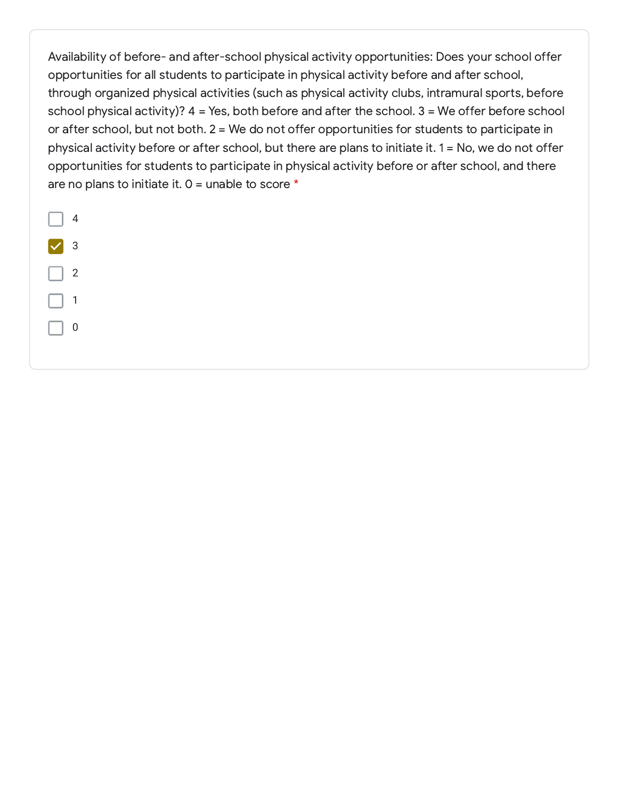Availability of before- and after-school physical activity opportunities: Does your school offer opportunities for all students to participate in physical activity before and after school, through organized physical activities (such as physical activity clubs, intramural sports, before school physical activity)? 4 = Yes, both before and after the school. 3 = We offer before school or after school, but not both. 2 = We do not offer opportunities for students to participate in physical activity before or after school, but there are plans to initiate it. 1 = No, we do not offer opportunities for students to participate in physical activity before or after school, and there are no plans to initiate it.  $0 =$  unable to score  $*$ 

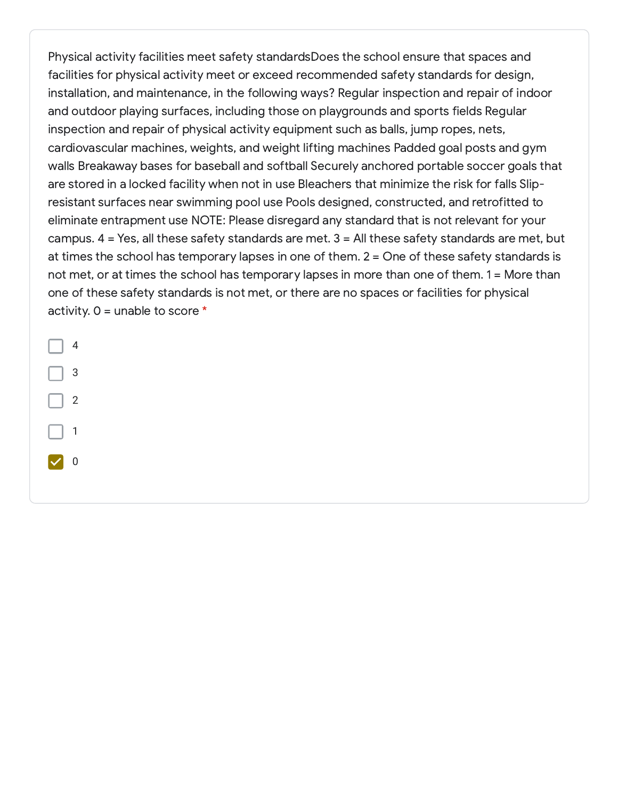Physical activity facilities meet safety standardsDoes the school ensure that spaces and facilities for physical activity meet or exceed recommended safety standards for design, installation, and maintenance, in the following ways? Regular inspection and repair of indoor and outdoor playing surfaces, including those on playgrounds and sports fields Regular inspection and repair of physical activity equipment such as balls, jump ropes, nets, cardiovascular machines, weights, and weight lifting machines Padded goal posts and gym walls Breakaway bases for baseball and softball Securely anchored portable soccer goals that are stored in a locked facility when not in use Bleachers that minimize the risk for falls Slipresistant surfaces near swimming pool use Pools designed, constructed, and retrofitted to eliminate entrapment use NOTE: Please disregard any standard that is not relevant for your campus. 4 = Yes, all these safety standards are met. 3 = All these safety standards are met, but at times the school has temporary lapses in one of them. 2 = One of these safety standards is not met, or at times the school has temporary lapses in more than one of them. 1 = More than one of these safety standards is not met, or there are no spaces or facilities for physical activity.  $0 =$  unable to score  $*$ 

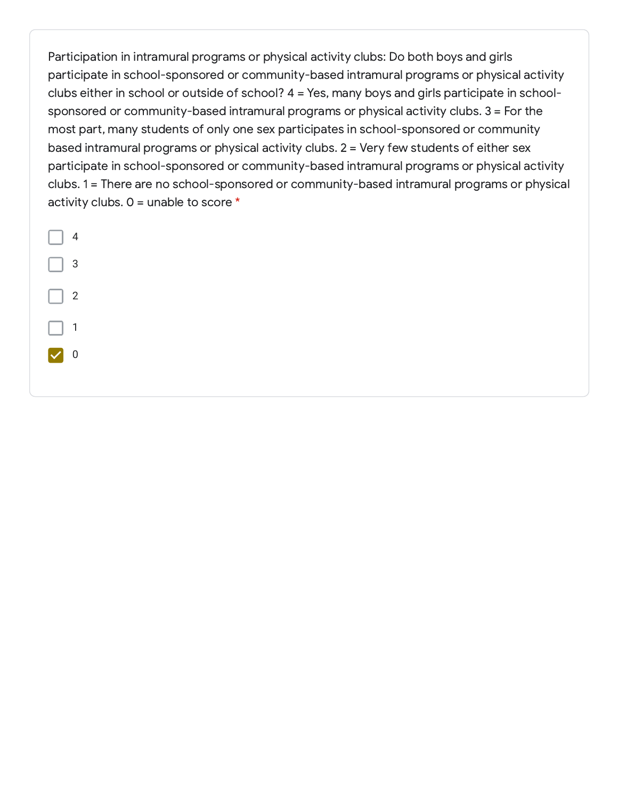Participation in intramural programs or physical activity clubs: Do both boys and girls participate in school-sponsored or community-based intramural programs or physical activity clubs either in school or outside of school? 4 = Yes, many boys and girls participate in schoolsponsored or community-based intramural programs or physical activity clubs. 3 = For the most part, many students of only one sex participates in school-sponsored or community based intramural programs or physical activity clubs. 2 = Very few students of either sex participate in school-sponsored or community-based intramural programs or physical activity clubs. 1 = There are no school-sponsored or community-based intramural programs or physical activity clubs.  $0 =$  unable to score  $*$ 

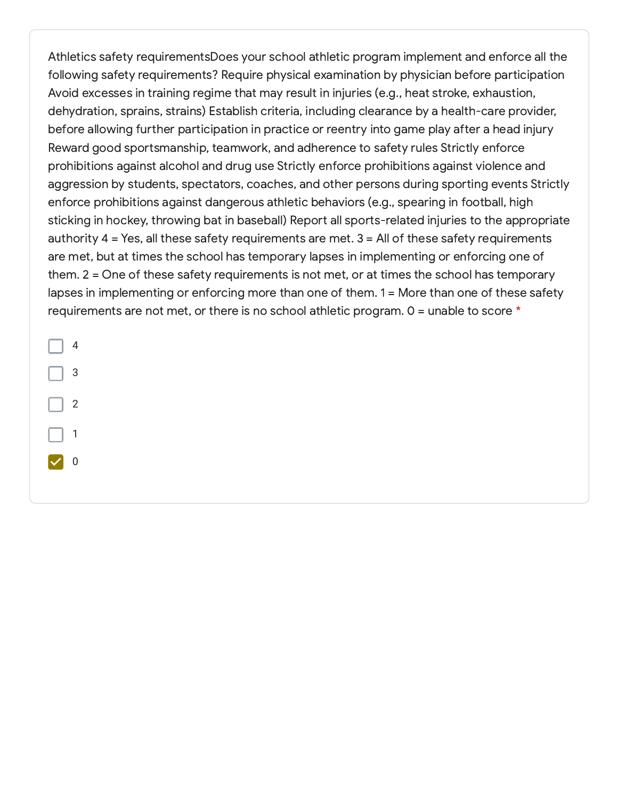Athletics safety requirementsDoes your school athletic program implement and enforce all the following safety requirements? Require physical examination by physician before participation Avoid excesses in training regime that may result in injuries (e.g., heat stroke, exhaustion, dehydration, sprains, strains) Establish criteria, including clearance by a health-care provider, before allowing further participation in practice or reentry into game play after a head injury Reward good sportsmanship, teamwork, and adherence to safety rules Strictly enforce prohibitions against alcohol and drug use Strictly enforce prohibitions against violence and aggression by students, spectators, coaches, and other persons during sporting events Strictly enforce prohibitions against dangerous athletic behaviors (e.g., spearing in football, high sticking in hockey, throwing bat in baseball) Report all sports-related injuries to the appropriate authority 4 = Yes, all these safety requirements are met. 3 = All of these safety requirements are met, but at times the school has temporary lapses in implementing or enforcing one of them. 2 = One of these safety requirements is not met, or at times the school has temporary lapses in implementing or enforcing more than one of them. 1 = More than one of these safety requirements are not met, or there is no school athletic program. 0 = unable to score \*

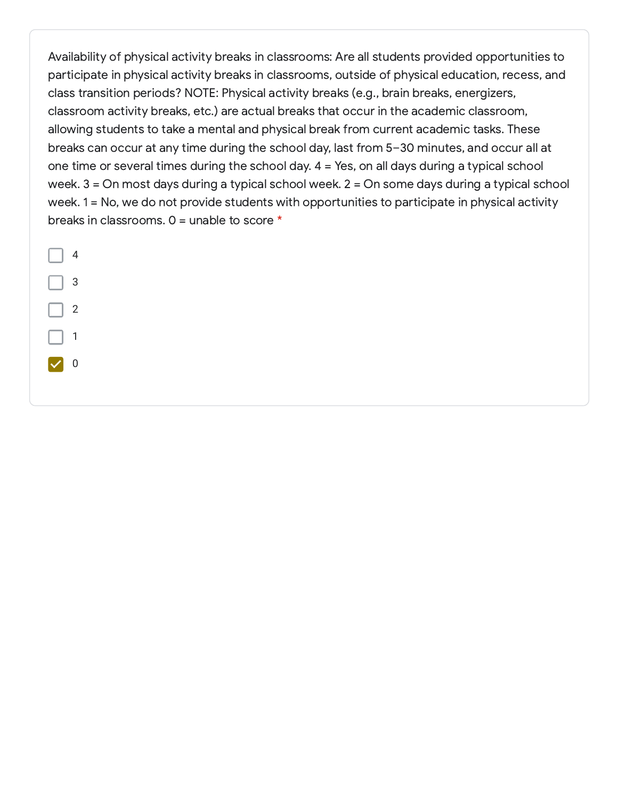Availability of physical activity breaks in classrooms: Are all students provided opportunities to participate in physical activity breaks in classrooms, outside of physical education, recess, and class transition periods? NOTE: Physical activity breaks (e.g., brain breaks, energizers, classroom activity breaks, etc.) are actual breaks that occur in the academic classroom, allowing students to take a mental and physical break from current academic tasks. These breaks can occur at any time during the school day, last from 5–30 minutes, and occur all at one time or several times during the school day. 4 = Yes, on all days during a typical school week. 3 = On most days during a typical school week. 2 = On some days during a typical school week. 1 = No, we do not provide students with opportunities to participate in physical activity breaks in classrooms. 0 = unable to score \*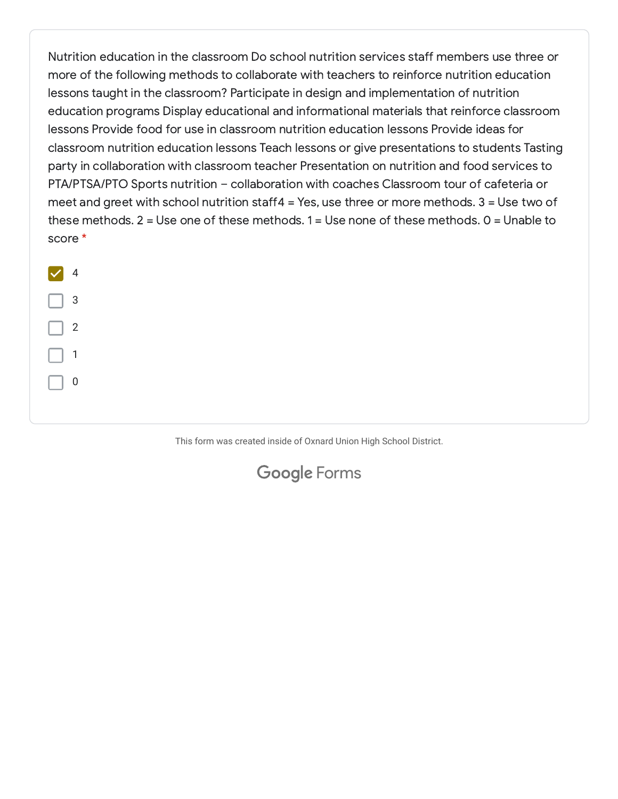Nutrition education in the classroom Do school nutrition services staff members use three or more of the following methods to collaborate with teachers to reinforce nutrition education lessons taught in the classroom? Participate in design and implementation of nutrition education programs Display educational and informational materials that reinforce classroom lessons Provide food for use in classroom nutrition education lessons Provide ideas for classroom nutrition education lessons Teach lessons or give presentations to students Tasting party in collaboration with classroom teacher Presentation on nutrition and food services to PTA/PTSA/PTO Sports nutrition – collaboration with coaches Classroom tour of cafeteria or meet and greet with school nutrition staff4 = Yes, use three or more methods.  $3 =$  Use two of these methods.  $2 = Use$  one of these methods.  $1 = Use$  none of these methods.  $0 = Und$  Unable to score \*



This form was created inside of Oxnard Union High School District.

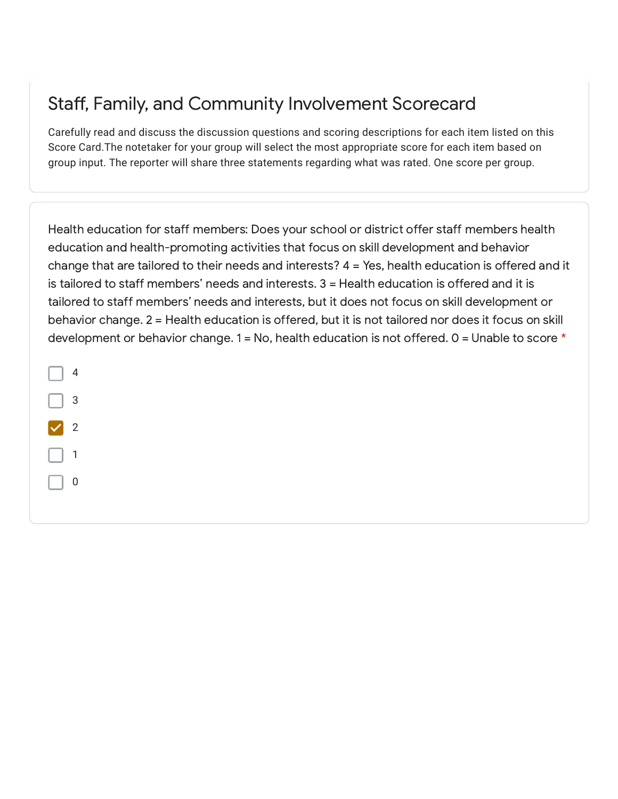## Staff, Family, and Community Involvement Scorecard

Carefully read and discuss the discussion questions and scoring descriptions for each item listed on this Score Card.The notetaker for your group will select the most appropriate score for each item based on group input. The reporter will share three statements regarding what was rated. One score per group.

Health education for staff members: Does your school or district offer staff members health education and health-promoting activities that focus on skill development and behavior change that are tailored to their needs and interests? 4 = Yes, health education is offered and it is tailored to staff members' needs and interests. 3 = Health education is offered and it is tailored to staff members' needs and interests, but it does not focus on skill development or behavior change. 2 = Health education is offered, but it is not tailored nor does it focus on skill development or behavior change.  $1 = No$ , health education is not offered.  $0 = Unable$  to score  $*$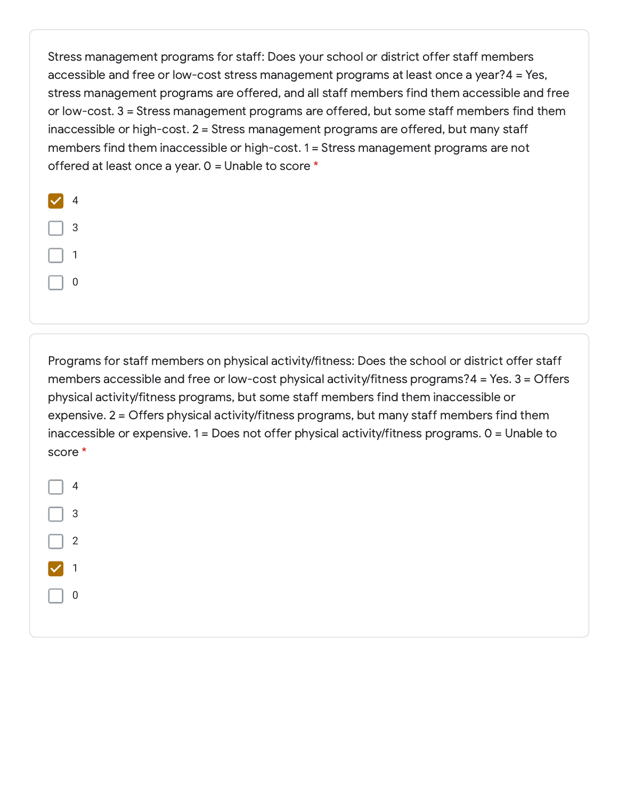Stress management programs for staff: Does your school or district offer staff members accessible and free or low-cost stress management programs at least once a year?4 = Yes, stress management programs are offered, and all staff members find them accessible and free or low-cost. 3 = Stress management programs are offered, but some staff members find them inaccessible or high-cost. 2 = Stress management programs are offered, but many staff members find them inaccessible or high-cost. 1 = Stress management programs are not offered at least once a year. 0 = Unable to score \*

| $\overline{4}$ |
|----------------|
| 3              |
| 1              |
| D              |

Programs for staff members on physical activity/fitness: Does the school or district offer staff members accessible and free or low-cost physical activity/fitness programs?4 = Yes. 3 = Offers physical activity/fitness programs, but some staff members find them inaccessible or expensive. 2 = Offers physical activity/fitness programs, but many staff members find them inaccessible or expensive. 1 = Does not offer physical activity/fitness programs. 0 = Unable to score \*

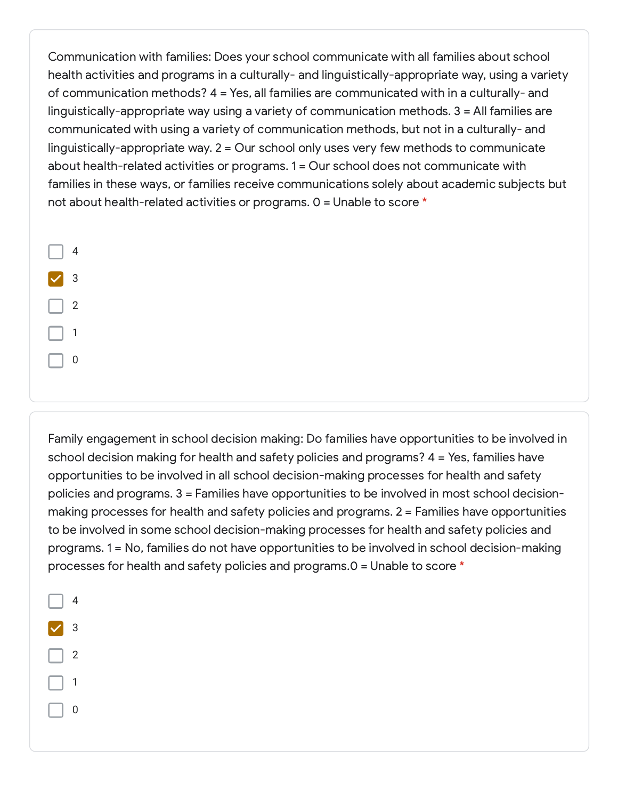Communication with families: Does your school communicate with all families about school health activities and programs in a culturally- and linguistically-appropriate way, using a variety of communication methods? 4 = Yes, all families are communicated with in a culturally- and linguistically-appropriate way using a variety of communication methods. 3 = All families are communicated with using a variety of communication methods, but not in a culturally- and linguistically-appropriate way. 2 = Our school only uses very few methods to communicate about health-related activities or programs. 1 = Our school does not communicate with families in these ways, or families receive communications solely about academic subjects but not about health-related activities or programs. 0 = Unable to score \*

|   | 4              |
|---|----------------|
| 7 | 3              |
|   | $\overline{2}$ |
|   | 1              |
|   | 0              |

Family engagement in school decision making: Do families have opportunities to be involved in school decision making for health and safety policies and programs? 4 = Yes, families have opportunities to be involved in all school decision-making processes for health and safety policies and programs. 3 = Families have opportunities to be involved in most school decisionmaking processes for health and safety policies and programs. 2 = Families have opportunities to be involved in some school decision-making processes for health and safety policies and programs. 1 = No, families do not have opportunities to be involved in school decision-making processes for health and safety policies and programs.0 = Unable to score \*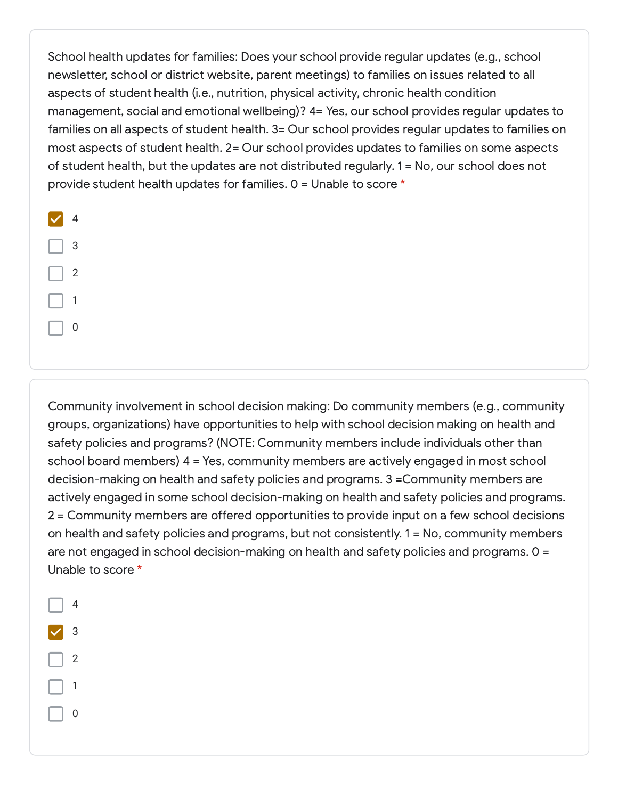School health updates for families: Does your school provide regular updates (e.g., school newsletter, school or district website, parent meetings) to families on issues related to all aspects of student health (i.e., nutrition, physical activity, chronic health condition management, social and emotional wellbeing)? 4= Yes, our school provides regular updates to families on all aspects of student health. 3= Our school provides regular updates to families on most aspects of student health. 2= Our school provides updates to families on some aspects of student health, but the updates are not distributed regularly. 1 = No, our school does not provide student health updates for families. 0 = Unable to score \*

| f, | $\overline{4}$ |
|----|----------------|
|    | 3              |
|    | $\overline{2}$ |
|    | 1              |
|    | 0              |

Community involvement in school decision making: Do community members (e.g., community groups, organizations) have opportunities to help with school decision making on health and safety policies and programs? (NOTE: Community members include individuals other than school board members) 4 = Yes, community members are actively engaged in most school decision-making on health and safety policies and programs. 3 =Community members are actively engaged in some school decision-making on health and safety policies and programs. 2 = Community members are offered opportunities to provide input on a few school decisions on health and safety policies and programs, but not consistently. 1 = No, community members are not engaged in school decision-making on health and safety policies and programs. 0 = Unable to score \*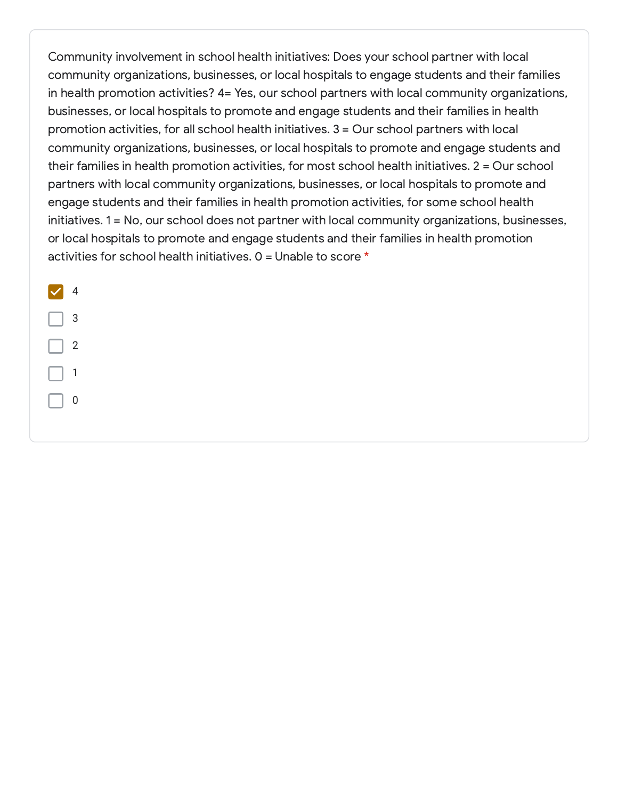Community involvement in school health initiatives: Does your school partner with local community organizations, businesses, or local hospitals to engage students and their families in health promotion activities? 4= Yes, our school partners with local community organizations, businesses, or local hospitals to promote and engage students and their families in health promotion activities, for all school health initiatives. 3 = Our school partners with local community organizations, businesses, or local hospitals to promote and engage students and their families in health promotion activities, for most school health initiatives. 2 = Our school partners with local community organizations, businesses, or local hospitals to promote and engage students and their families in health promotion activities, for some school health initiatives. 1 = No, our school does not partner with local community organizations, businesses, or local hospitals to promote and engage students and their families in health promotion activities for school health initiatives.  $0 =$  Unable to score  $*$ 

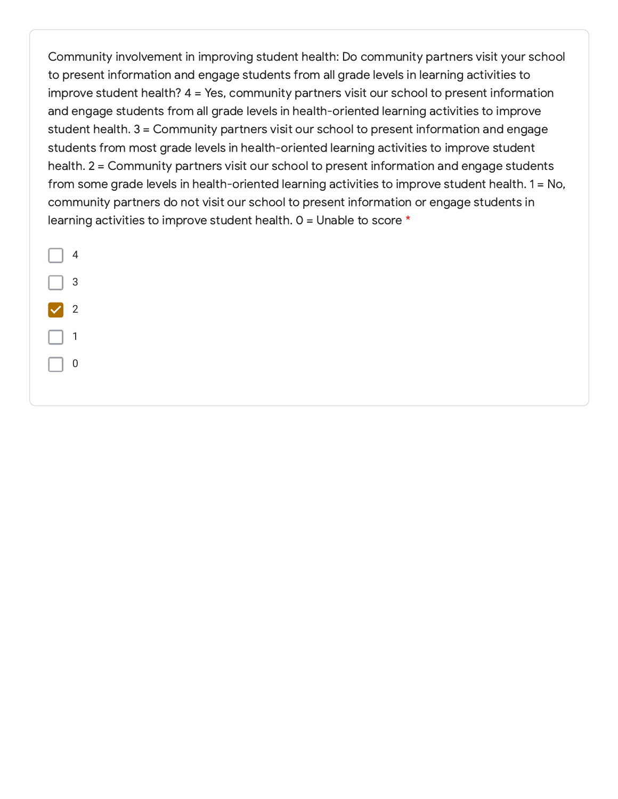Community involvement in improving student health: Do community partners visit your school to present information and engage students from all grade levels in learning activities to improve student health? 4 = Yes, community partners visit our school to present information and engage students from all grade levels in health-oriented learning activities to improve student health. 3 = Community partners visit our school to present information and engage students from most grade levels in health-oriented learning activities to improve student health. 2 = Community partners visit our school to present information and engage students from some grade levels in health-oriented learning activities to improve student health. 1 = No, community partners do not visit our school to present information or engage students in learning activities to improve student health.  $0 =$  Unable to score  $*$